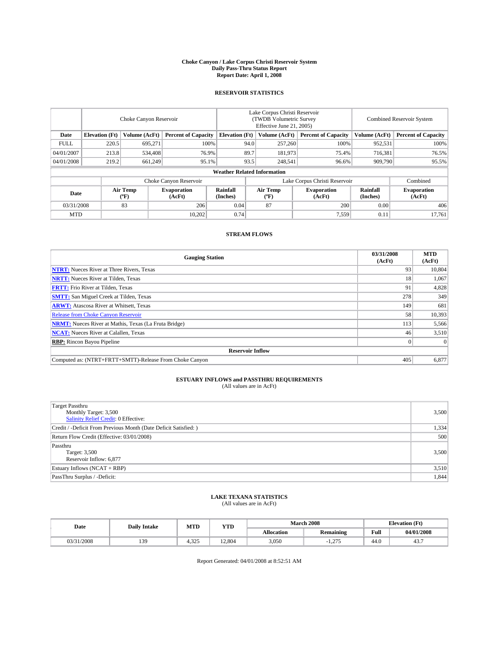#### **Choke Canyon / Lake Corpus Christi Reservoir System Daily Pass-Thru Status Report Report Date: April 1, 2008**

### **RESERVOIR STATISTICS**

|             | Choke Canyon Reservoir             |                  |                              |                       | Lake Corpus Christi Reservoir<br>(TWDB Volumetric Survey<br>Effective June 21, 2005) |                  |                               |                      | <b>Combined Reservoir System</b> |  |  |
|-------------|------------------------------------|------------------|------------------------------|-----------------------|--------------------------------------------------------------------------------------|------------------|-------------------------------|----------------------|----------------------------------|--|--|
| Date        | <b>Elevation</b> (Ft)              | Volume (AcFt)    | <b>Percent of Capacity</b>   | <b>Elevation</b> (Ft) |                                                                                      | Volume (AcFt)    | <b>Percent of Capacity</b>    | Volume (AcFt)        | <b>Percent of Capacity</b>       |  |  |
| <b>FULL</b> | 220.5                              | 695,271          | 100%                         |                       | 94.0                                                                                 | 257,260          | 100%                          | 952,531              | 100%                             |  |  |
| 04/01/2007  | 213.8                              | 534,408          | 76.9%                        |                       | 89.7                                                                                 | 181,973          | 75.4%                         | 716,381              | 76.5%                            |  |  |
| 04/01/2008  | 219.2                              | 661,249          | 95.1%                        |                       | 93.5                                                                                 | 248,541          | 96.6%                         | 909,790              | 95.5%                            |  |  |
|             | <b>Weather Related Information</b> |                  |                              |                       |                                                                                      |                  |                               |                      |                                  |  |  |
|             |                                    |                  | Choke Canyon Reservoir       |                       |                                                                                      |                  | Lake Corpus Christi Reservoir |                      | Combined                         |  |  |
| Date        |                                    | Air Temp<br>(°F) | <b>Evaporation</b><br>(AcFt) | Rainfall<br>(Inches)  |                                                                                      | Air Temp<br>("F) | <b>Evaporation</b><br>(AcFt)  | Rainfall<br>(Inches) | <b>Evaporation</b><br>(AcFt)     |  |  |
| 03/31/2008  |                                    | 83               | 206                          | 0.04                  |                                                                                      | 87               | 200                           | 0.00                 | 406                              |  |  |
| <b>MTD</b>  |                                    |                  | 10.202                       | 0.74                  |                                                                                      |                  | 7,559                         | 0.11                 | 17,761                           |  |  |

### **STREAM FLOWS**

| <b>Gauging Station</b>                                       | 03/31/2008<br>(AcFt) | <b>MTD</b><br>(AcFt) |
|--------------------------------------------------------------|----------------------|----------------------|
| <b>NTRT:</b> Nueces River at Three Rivers, Texas             | 93                   | 10,804               |
| <b>NRTT:</b> Nueces River at Tilden, Texas                   | 18                   | 1.067                |
| <b>FRTT:</b> Frio River at Tilden, Texas                     | 91                   | 4,828                |
| <b>SMTT:</b> San Miguel Creek at Tilden, Texas               | 278                  | 349                  |
| <b>ARWT:</b> Atascosa River at Whitsett, Texas               | 149                  | 681                  |
| <b>Release from Choke Canyon Reservoir</b>                   | 58                   | 10,393               |
| <b>NRMT:</b> Nueces River at Mathis, Texas (La Fruta Bridge) | 113                  | 5,566                |
| <b>NCAT:</b> Nueces River at Calallen, Texas                 | 46                   | 3,510                |
| <b>RBP:</b> Rincon Bayou Pipeline                            |                      | $\Omega$             |
| <b>Reservoir Inflow</b>                                      |                      |                      |
| Computed as: (NTRT+FRTT+SMTT)-Release From Choke Canyon      | 405                  | 6,877                |

# **ESTUARY INFLOWS and PASSTHRU REQUIREMENTS**<br>(All values are in AcFt)

| <b>Target Passthru</b><br>Monthly Target: 3,500<br><b>Salinity Relief Credit: 0 Effective:</b> | 3,500 |
|------------------------------------------------------------------------------------------------|-------|
| Credit / -Deficit From Previous Month (Date Deficit Satisfied: )                               | 1,334 |
| Return Flow Credit (Effective: 03/01/2008)                                                     | 500   |
| Passthru<br>Target: 3,500<br>Reservoir Inflow: 6,877                                           | 3,500 |
| Estuary Inflows (NCAT + RBP)                                                                   | 3,510 |
| PassThru Surplus / -Deficit:                                                                   | 1,844 |

# **LAKE TEXANA STATISTICS** (All values are in AcFt)

| Date       | <b>Daily Intake</b> | MTD   | <b>YTD</b> |                   | <b>March 2008</b> | <b>Elevation</b> (Ft) |            |
|------------|---------------------|-------|------------|-------------------|-------------------|-----------------------|------------|
|            |                     |       |            | <b>Allocation</b> | <b>Remaining</b>  | Full                  | 04/01/2008 |
| 03/31/2008 | 139                 | 4.325 | 12.804     | 3,050             | 27<br>1.41        | 44.0                  | ┱┛╸        |

Report Generated: 04/01/2008 at 8:52:51 AM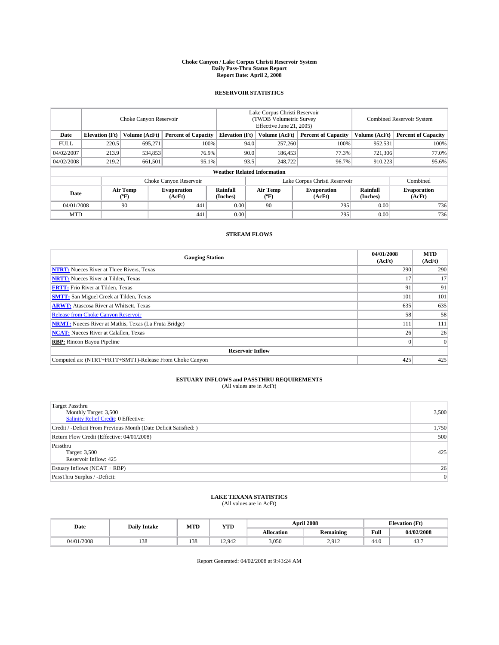### **Choke Canyon / Lake Corpus Christi Reservoir System Daily Pass-Thru Status Report Report Date: April 2, 2008**

### **RESERVOIR STATISTICS**

|             | Choke Canyon Reservoir |                  |                              |                                    | Lake Corpus Christi Reservoir<br>(TWDB Volumetric Survey<br>Effective June 21, 2005) |                  |                               |                      | Combined Reservoir System    |  |  |
|-------------|------------------------|------------------|------------------------------|------------------------------------|--------------------------------------------------------------------------------------|------------------|-------------------------------|----------------------|------------------------------|--|--|
| Date        | <b>Elevation</b> (Ft)  | Volume (AcFt)    | <b>Percent of Capacity</b>   | <b>Elevation</b> (Ft)              |                                                                                      | Volume (AcFt)    | <b>Percent of Capacity</b>    | Volume (AcFt)        | <b>Percent of Capacity</b>   |  |  |
| <b>FULL</b> | 220.5                  | 695,271          | 100%                         |                                    | 94.0                                                                                 | 257,260          | 100%                          | 952,531              | 100%                         |  |  |
| 04/02/2007  | 213.9                  | 534,853          | 76.9%                        |                                    | 90.0                                                                                 | 186,453          | 77.3%                         | 721,306              | 77.0%                        |  |  |
| 04/02/2008  | 219.2                  | 661,501          | 95.1%                        |                                    | 93.5                                                                                 | 248,722          | 96.7%                         | 910.223              | 95.6%                        |  |  |
|             |                        |                  |                              | <b>Weather Related Information</b> |                                                                                      |                  |                               |                      |                              |  |  |
|             |                        |                  | Choke Canyon Reservoir       |                                    |                                                                                      |                  | Lake Corpus Christi Reservoir |                      | Combined                     |  |  |
| Date        |                        | Air Temp<br>(°F) | <b>Evaporation</b><br>(AcFt) | Rainfall<br>(Inches)               |                                                                                      | Air Temp<br>("F) | <b>Evaporation</b><br>(AcFt)  | Rainfall<br>(Inches) | <b>Evaporation</b><br>(AcFt) |  |  |
| 04/01/2008  |                        | 90               | 441                          | 0.00                               |                                                                                      | 90               | 295                           | 0.00                 | 736                          |  |  |
| <b>MTD</b>  |                        |                  | 441                          | 0.00                               |                                                                                      |                  | 295                           | 0.00                 | 736                          |  |  |

### **STREAM FLOWS**

| <b>Gauging Station</b>                                       | 04/01/2008<br>(AcFt) | <b>MTD</b><br>(AcFt) |
|--------------------------------------------------------------|----------------------|----------------------|
| <b>NTRT:</b> Nueces River at Three Rivers, Texas             | 290                  | 290                  |
| <b>NRTT:</b> Nueces River at Tilden, Texas                   |                      | 17                   |
| <b>FRTT:</b> Frio River at Tilden, Texas                     | 91                   | 91                   |
| <b>SMTT:</b> San Miguel Creek at Tilden, Texas               | 101                  | 101                  |
| <b>ARWT:</b> Atascosa River at Whitsett, Texas               | 635                  | 635                  |
| <b>Release from Choke Canyon Reservoir</b>                   | 58                   | 58                   |
| <b>NRMT:</b> Nueces River at Mathis, Texas (La Fruta Bridge) | 111                  | 111                  |
| <b>NCAT:</b> Nueces River at Calallen, Texas                 | 26                   | 26                   |
| <b>RBP:</b> Rincon Bayou Pipeline                            |                      | $\Omega$             |
| <b>Reservoir Inflow</b>                                      |                      |                      |
| Computed as: (NTRT+FRTT+SMTT)-Release From Choke Canyon      | 425                  | 425                  |

# **ESTUARY INFLOWS and PASSTHRU REQUIREMENTS**<br>(All values are in AcFt)

| <b>Target Passthru</b><br>Monthly Target: 3,500<br><b>Salinity Relief Credit: 0 Effective:</b> | 3,500 |
|------------------------------------------------------------------------------------------------|-------|
| Credit / -Deficit From Previous Month (Date Deficit Satisfied: )                               | 1,750 |
| Return Flow Credit (Effective: 04/01/2008)                                                     | 500   |
| Passthru<br>Target: 3,500<br>Reservoir Inflow: 425                                             | 425   |
| Estuary Inflows (NCAT + RBP)                                                                   | 26    |
| PassThru Surplus / -Deficit:                                                                   | 0     |

# **LAKE TEXANA STATISTICS** (All values are in AcFt)

| Date       | <b>Daily Intake</b> | MTD                   | <b>YTD</b> |                   | <b>April 2008</b> | <b>Elevation</b> (Ft) |            |
|------------|---------------------|-----------------------|------------|-------------------|-------------------|-----------------------|------------|
|            |                     |                       |            | <b>Allocation</b> | <b>Remaining</b>  | Full                  | 04/02/2008 |
| 04/01/2008 | 120<br>138          | 0 <sup>0</sup><br>128 | 12.942     | 3,050             | 2.012<br>2.712    | 44.0                  | ┱┛╸        |

Report Generated: 04/02/2008 at 9:43:24 AM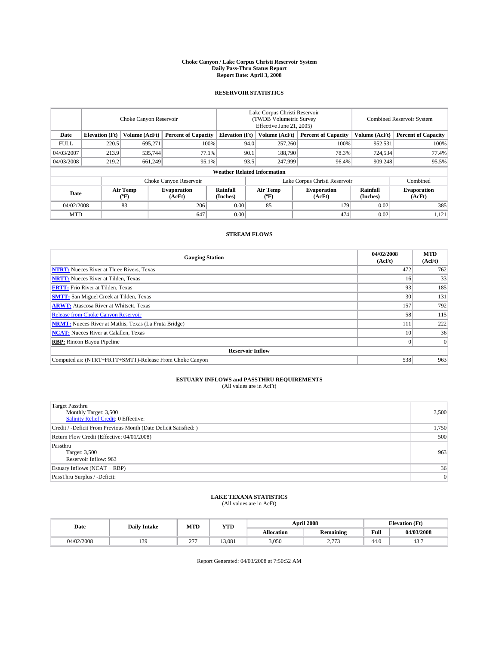#### **Choke Canyon / Lake Corpus Christi Reservoir System Daily Pass-Thru Status Report Report Date: April 3, 2008**

### **RESERVOIR STATISTICS**

|             | Choke Canyon Reservoir             |                  |                              |                       | Lake Corpus Christi Reservoir<br>(TWDB Volumetric Survey<br>Effective June 21, 2005) |                  |                               |                      | Combined Reservoir System    |  |  |
|-------------|------------------------------------|------------------|------------------------------|-----------------------|--------------------------------------------------------------------------------------|------------------|-------------------------------|----------------------|------------------------------|--|--|
| Date        | <b>Elevation</b> (Ft)              | Volume (AcFt)    | <b>Percent of Capacity</b>   | <b>Elevation</b> (Ft) |                                                                                      | Volume (AcFt)    | <b>Percent of Capacity</b>    | Volume (AcFt)        | <b>Percent of Capacity</b>   |  |  |
| <b>FULL</b> | 220.5                              | 695,271          |                              | 100%                  | 94.0                                                                                 | 257,260          | 100%                          | 952,531              | 100%                         |  |  |
| 04/03/2007  | 213.9                              | 535,744          | 77.1%                        |                       | 90.1                                                                                 | 188,790          | 78.3%                         | 724,534              | 77.4%                        |  |  |
| 04/03/2008  | 219.2                              | 661,249          | 95.1%                        |                       | 93.5                                                                                 | 247,999          | 96.4%                         | 909.248              | 95.5%                        |  |  |
|             | <b>Weather Related Information</b> |                  |                              |                       |                                                                                      |                  |                               |                      |                              |  |  |
|             |                                    |                  | Choke Canyon Reservoir       |                       |                                                                                      |                  | Lake Corpus Christi Reservoir |                      | Combined                     |  |  |
| Date        |                                    | Air Temp<br>(°F) | <b>Evaporation</b><br>(AcFt) | Rainfall<br>(Inches)  |                                                                                      | Air Temp<br>("F) | <b>Evaporation</b><br>(AcFt)  | Rainfall<br>(Inches) | <b>Evaporation</b><br>(AcFt) |  |  |
| 04/02/2008  |                                    | 83               | 206                          | 0.00                  |                                                                                      | 85               | 179                           | 0.02                 | 385                          |  |  |
| <b>MTD</b>  |                                    |                  | 647                          | 0.00                  |                                                                                      |                  | 474                           | 0.02                 | 1,121                        |  |  |

### **STREAM FLOWS**

| <b>Gauging Station</b>                                       | 04/02/2008<br>(AcFt) | <b>MTD</b><br>(AcFt) |
|--------------------------------------------------------------|----------------------|----------------------|
| <b>NTRT:</b> Nueces River at Three Rivers, Texas             | 472                  | 762                  |
| <b>NRTT:</b> Nueces River at Tilden, Texas                   | 16                   | 33                   |
| <b>FRTT:</b> Frio River at Tilden, Texas                     | 93                   | 185                  |
| <b>SMTT:</b> San Miguel Creek at Tilden, Texas               | 30                   | 131                  |
| <b>ARWT:</b> Atascosa River at Whitsett, Texas               | 157                  | 792                  |
| <b>Release from Choke Canyon Reservoir</b>                   | 58                   | 115                  |
| <b>NRMT:</b> Nueces River at Mathis, Texas (La Fruta Bridge) | 111                  | 222                  |
| <b>NCAT:</b> Nueces River at Calallen, Texas                 | 10                   | 36                   |
| <b>RBP:</b> Rincon Bayou Pipeline                            |                      | $\Omega$             |
| <b>Reservoir Inflow</b>                                      |                      |                      |
| Computed as: (NTRT+FRTT+SMTT)-Release From Choke Canyon      | 538                  | 963                  |

# **ESTUARY INFLOWS and PASSTHRU REQUIREMENTS**<br>(All values are in AcFt)

| <b>Target Passthru</b><br>Monthly Target: 3,500<br>Salinity Relief Credit: 0 Effective: | 3,500          |
|-----------------------------------------------------------------------------------------|----------------|
| Credit / -Deficit From Previous Month (Date Deficit Satisfied: )                        | 1,750          |
| Return Flow Credit (Effective: 04/01/2008)                                              | 500            |
| Passthru<br>Target: 3,500<br>Reservoir Inflow: 963                                      | 963            |
| Estuary Inflows (NCAT + RBP)                                                            | 36             |
| PassThru Surplus / -Deficit:                                                            | $\overline{0}$ |

# **LAKE TEXANA STATISTICS** (All values are in AcFt)

| Date       | <b>Daily Intake</b> | MTD                  | <b>YTD</b> |                   | <b>April 2008</b>         | <b>Elevation</b> (Ft) |            |
|------------|---------------------|----------------------|------------|-------------------|---------------------------|-----------------------|------------|
|            |                     |                      |            | <b>Allocation</b> | <b>Remaining</b>          | Full                  | 04/03/2008 |
| 04/02/2008 | 139                 | $\sim$ $\sim$<br>. . | 13.081     | 3,050             | $- - -$<br>$\sim \cdot$ 1 | 44.0                  | ┱┛╸        |

Report Generated: 04/03/2008 at 7:50:52 AM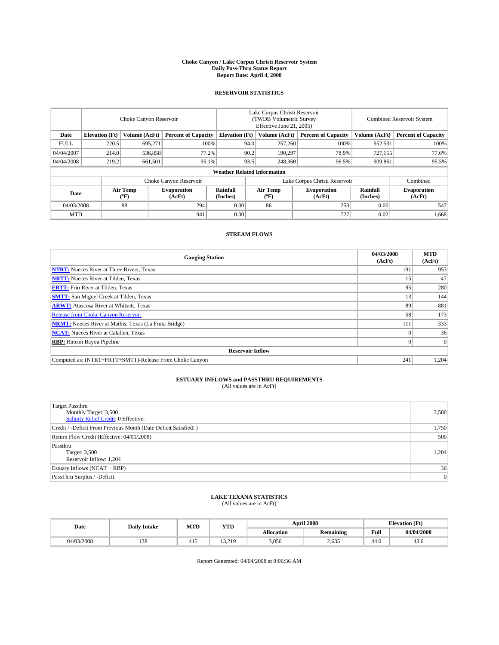### **Choke Canyon / Lake Corpus Christi Reservoir System Daily Pass-Thru Status Report Report Date: April 4, 2008**

### **RESERVOIR STATISTICS**

|             | Choke Canyon Reservoir |                  |                              |                                    | Lake Corpus Christi Reservoir<br>(TWDB Volumetric Survey<br>Effective June 21, 2005) |                  |                               |                      | Combined Reservoir System    |  |  |
|-------------|------------------------|------------------|------------------------------|------------------------------------|--------------------------------------------------------------------------------------|------------------|-------------------------------|----------------------|------------------------------|--|--|
| Date        | <b>Elevation</b> (Ft)  | Volume (AcFt)    | <b>Percent of Capacity</b>   | <b>Elevation</b> (Ft)              |                                                                                      | Volume (AcFt)    | <b>Percent of Capacity</b>    | Volume (AcFt)        | <b>Percent of Capacity</b>   |  |  |
| <b>FULL</b> | 220.5                  | 695.271          | 100%                         |                                    | 94.0                                                                                 | 257,260          | 100%                          | 952,531              | 100%                         |  |  |
| 04/04/2007  | 214.0                  | 536,858          | 77.2%                        |                                    | 90.2                                                                                 | 190.297          | 78.9%                         | 727,155              | 77.6%                        |  |  |
| 04/04/2008  | 219.2                  | 661,501          | 95.1%                        |                                    | 93.5                                                                                 | 248,360          | 96.5%                         | 909,861              | 95.5%                        |  |  |
|             |                        |                  |                              | <b>Weather Related Information</b> |                                                                                      |                  |                               |                      |                              |  |  |
|             |                        |                  | Choke Canyon Reservoir       |                                    |                                                                                      |                  | Lake Corpus Christi Reservoir |                      | Combined                     |  |  |
| Date        |                        | Air Temp<br>("F) | <b>Evaporation</b><br>(AcFt) | Rainfall<br>(Inches)               |                                                                                      | Air Temp<br>("F) | <b>Evaporation</b><br>(AcFt)  | Rainfall<br>(Inches) | <b>Evaporation</b><br>(AcFt) |  |  |
| 04/03/2008  |                        | 88               | 294                          | 0.00                               |                                                                                      | 86               | 253                           | 0.00                 | 547                          |  |  |
| <b>MTD</b>  |                        |                  | 941                          | 0.00                               |                                                                                      |                  | 727                           | 0.02                 | 1,668                        |  |  |

### **STREAM FLOWS**

| <b>Gauging Station</b>                                       | 04/03/2008<br>(AcFt) | <b>MTD</b><br>(AcFt) |  |
|--------------------------------------------------------------|----------------------|----------------------|--|
| <b>NTRT:</b> Nueces River at Three Rivers, Texas             | 191                  | 953                  |  |
| <b>NRTT:</b> Nueces River at Tilden, Texas                   | 15                   | 47                   |  |
| <b>FRTT:</b> Frio River at Tilden, Texas                     | 95                   | 280                  |  |
| <b>SMTT:</b> San Miguel Creek at Tilden, Texas               | 13                   | 144                  |  |
| <b>ARWT:</b> Atascosa River at Whitsett, Texas               | 89                   | 881                  |  |
| <b>Release from Choke Canyon Reservoir</b>                   | 58                   | 173                  |  |
| <b>NRMT:</b> Nueces River at Mathis, Texas (La Fruta Bridge) | 111                  | 333                  |  |
| <b>NCAT:</b> Nueces River at Calallen, Texas                 |                      | 36                   |  |
| <b>RBP:</b> Rincon Bayou Pipeline                            |                      |                      |  |
| <b>Reservoir Inflow</b>                                      |                      |                      |  |
| Computed as: (NTRT+FRTT+SMTT)-Release From Choke Canyon      | 241                  | 1,204                |  |

# **ESTUARY INFLOWS and PASSTHRU REQUIREMENTS**<br>(All values are in AcFt)

| <b>Target Passthru</b><br>Monthly Target: 3,500<br>Salinity Relief Credit: 0 Effective: | 3,500 |
|-----------------------------------------------------------------------------------------|-------|
| Credit / -Deficit From Previous Month (Date Deficit Satisfied: )                        | 1,750 |
| Return Flow Credit (Effective: 04/01/2008)                                              | 500   |
| Passthru<br>Target: 3,500<br>Reservoir Inflow: 1,204                                    | 1,204 |
| Estuary Inflows (NCAT + RBP)                                                            | 36    |
| PassThru Surplus / -Deficit:                                                            | 0     |

# **LAKE TEXANA STATISTICS** (All values are in AcFt)

| Date       | <b>Daily Intake</b> | MTD | <b>YTD</b> |                   | <b>April 2008</b> | <b>Elevation</b> (Ft) |            |
|------------|---------------------|-----|------------|-------------------|-------------------|-----------------------|------------|
|            |                     |     |            | <b>Allocation</b> | <b>Remaining</b>  | Full                  | 04/04/2008 |
| 04/03/2008 | 120<br>138          | 415 | 13.219     | 3,050             | 2.635             | 44.0                  | 43.0       |

Report Generated: 04/04/2008 at 9:06:36 AM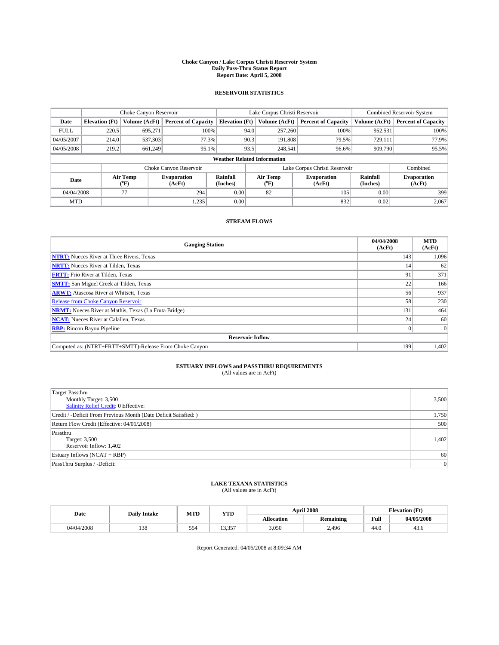### **Choke Canyon / Lake Corpus Christi Reservoir System Daily Pass-Thru Status Report Report Date: April 5, 2008**

### **RESERVOIR STATISTICS**

|             | Choke Canyon Reservoir             |                  |                              |                       | Lake Corpus Christi Reservoir | <b>Combined Reservoir System</b> |                      |                              |  |
|-------------|------------------------------------|------------------|------------------------------|-----------------------|-------------------------------|----------------------------------|----------------------|------------------------------|--|
| Date        | <b>Elevation</b> (Ft)              | Volume (AcFt)    | <b>Percent of Capacity</b>   | <b>Elevation</b> (Ft) | Volume (AcFt)                 | <b>Percent of Capacity</b>       | Volume (AcFt)        | <b>Percent of Capacity</b>   |  |
| <b>FULL</b> | 220.5                              | 695,271          | 100%                         |                       | 257,260<br>94.0               | 100%                             | 952,531              | 100%                         |  |
| 04/05/2007  | 214.0                              | 537,303          | 77.3%                        |                       | 90.3<br>191,808               | 79.5%                            | 729,111              | 77.9%                        |  |
| 04/05/2008  | 219.2                              | 661.249          | 95.1%                        |                       | 93.5<br>248,541               | 96.6%                            | 909,790              | 95.5%                        |  |
|             | <b>Weather Related Information</b> |                  |                              |                       |                               |                                  |                      |                              |  |
|             |                                    |                  | Choke Canyon Reservoir       |                       |                               | Lake Corpus Christi Reservoir    |                      | Combined                     |  |
| Date        |                                    | Air Temp<br>(°F) | <b>Evaporation</b><br>(AcFt) | Rainfall<br>(Inches)  | Air Temp<br>("F)              | <b>Evaporation</b><br>(AcFt)     | Rainfall<br>(Inches) | <b>Evaporation</b><br>(AcFt) |  |
| 04/04/2008  |                                    | 77               | 294                          | 0.00                  | 82                            | 105                              | 0.00                 | 399                          |  |
| <b>MTD</b>  |                                    |                  | 1,235                        | 0.00                  |                               | 832                              | 0.02                 | 2,067                        |  |

### **STREAM FLOWS**

| <b>Gauging Station</b>                                       | 04/04/2008<br>(AcFt) | <b>MTD</b><br>(AcFt) |  |  |  |  |  |
|--------------------------------------------------------------|----------------------|----------------------|--|--|--|--|--|
| <b>NTRT:</b> Nueces River at Three Rivers, Texas             | 143                  | 1,096                |  |  |  |  |  |
| <b>NRTT:</b> Nueces River at Tilden, Texas                   | 14                   | 62                   |  |  |  |  |  |
| <b>FRTT:</b> Frio River at Tilden, Texas                     | 91                   | 371                  |  |  |  |  |  |
| <b>SMTT:</b> San Miguel Creek at Tilden, Texas               | 22                   | 166                  |  |  |  |  |  |
| <b>ARWT:</b> Atascosa River at Whitsett, Texas               | 56                   | 937                  |  |  |  |  |  |
| <b>Release from Choke Canyon Reservoir</b>                   | 58                   | 230                  |  |  |  |  |  |
| <b>NRMT:</b> Nueces River at Mathis, Texas (La Fruta Bridge) | 131                  | 464                  |  |  |  |  |  |
| <b>NCAT:</b> Nueces River at Calallen, Texas                 | 24                   | 60                   |  |  |  |  |  |
| <b>RBP:</b> Rincon Bayou Pipeline                            | $\overline{0}$       | $\Omega$             |  |  |  |  |  |
| <b>Reservoir Inflow</b>                                      |                      |                      |  |  |  |  |  |
| Computed as: (NTRT+FRTT+SMTT)-Release From Choke Canyon      | 199                  | 1,402                |  |  |  |  |  |

# **ESTUARY INFLOWS and PASSTHRU REQUIREMENTS**<br>(All values are in AcFt)

| <b>Target Passthru</b><br>Monthly Target: 3,500<br>Salinity Relief Credit: 0 Effective: | 3,500 |
|-----------------------------------------------------------------------------------------|-------|
| Credit / -Deficit From Previous Month (Date Deficit Satisfied: )                        | 1,750 |
| Return Flow Credit (Effective: 04/01/2008)                                              | 500   |
| Passthru<br>Target: 3,500<br>Reservoir Inflow: 1,402                                    | 1,402 |
| Estuary Inflows (NCAT + RBP)                                                            | 60    |
| PassThru Surplus / -Deficit:                                                            | 0     |

## **LAKE TEXANA STATISTICS** (All values are in AcFt)

| Date       | <b>Daily Intake</b> | MTD | YTD             |                   | <b>April 2008</b> | <b>Elevation</b> (Ft)                   |            |
|------------|---------------------|-----|-----------------|-------------------|-------------------|-----------------------------------------|------------|
|            |                     |     |                 | <b>Allocation</b> | <b>Remaining</b>  | Full<br>the contract of the contract of | 04/05/2008 |
| 04/04/2008 | 120<br>128          | 554 | 12.257<br>13.JJ | 3,050             | 2.496             | 44.0                                    | 45.0       |

Report Generated: 04/05/2008 at 8:09:34 AM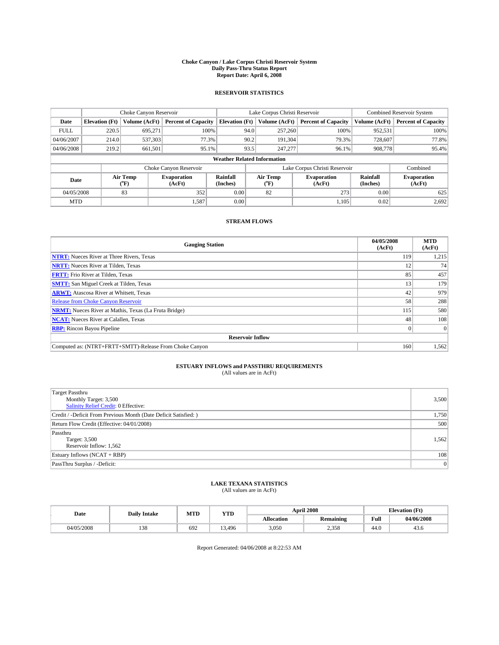### **Choke Canyon / Lake Corpus Christi Reservoir System Daily Pass-Thru Status Report Report Date: April 6, 2008**

### **RESERVOIR STATISTICS**

|             | Choke Canyon Reservoir             |                  |                              |                       | Lake Corpus Christi Reservoir | <b>Combined Reservoir System</b> |                             |                              |  |  |
|-------------|------------------------------------|------------------|------------------------------|-----------------------|-------------------------------|----------------------------------|-----------------------------|------------------------------|--|--|
| Date        | <b>Elevation</b> (Ft)              | Volume (AcFt)    | <b>Percent of Capacity</b>   | <b>Elevation</b> (Ft) | Volume (AcFt)                 | <b>Percent of Capacity</b>       | Volume (AcFt)               | <b>Percent of Capacity</b>   |  |  |
| <b>FULL</b> | 220.5                              | 695,271          | 100%                         |                       | 257,260<br>94.0               | 100%                             | 952,531                     | 100%                         |  |  |
| 04/06/2007  | 214.0                              | 537,303          | 77.3%                        | 90.2                  | 191,304                       | 79.3%                            | 728,607                     | 77.8%                        |  |  |
| 04/06/2008  | 219.2                              | 661,501          | 95.1%                        | 93.5                  | 247,277                       | 96.1%                            | 908,778                     | 95.4%                        |  |  |
|             | <b>Weather Related Information</b> |                  |                              |                       |                               |                                  |                             |                              |  |  |
|             |                                    |                  | Choke Canyon Reservoir       |                       |                               | Lake Corpus Christi Reservoir    |                             | Combined                     |  |  |
| Date        |                                    | Air Temp<br>(°F) | <b>Evaporation</b><br>(AcFt) | Rainfall<br>(Inches)  | Air Temp<br>("F)              | <b>Evaporation</b><br>(AcFt)     | <b>Rainfall</b><br>(Inches) | <b>Evaporation</b><br>(AcFt) |  |  |
| 04/05/2008  |                                    | 83               | 352                          | 0.00                  | 82                            | 273                              | 0.00                        | 625                          |  |  |
| <b>MTD</b>  |                                    |                  | 1.587                        | 0.00                  |                               | 1,105                            | 0.02                        | 2,692                        |  |  |

### **STREAM FLOWS**

| <b>Gauging Station</b>                                       | 04/05/2008<br>(AcFt) | <b>MTD</b><br>(AcFt) |
|--------------------------------------------------------------|----------------------|----------------------|
| <b>NTRT:</b> Nueces River at Three Rivers, Texas             | 119                  | 1,215                |
| <b>NRTT:</b> Nueces River at Tilden, Texas                   | 12                   | 74                   |
| <b>FRTT:</b> Frio River at Tilden, Texas                     | 85                   | 457                  |
| <b>SMTT:</b> San Miguel Creek at Tilden, Texas               | 13                   | 179                  |
| <b>ARWT:</b> Atascosa River at Whitsett, Texas               | 42                   | 979                  |
| <b>Release from Choke Canyon Reservoir</b>                   | 58                   | 288                  |
| <b>NRMT:</b> Nueces River at Mathis, Texas (La Fruta Bridge) | 115                  | 580                  |
| <b>NCAT:</b> Nueces River at Calallen, Texas                 | 48                   | 108                  |
| <b>RBP:</b> Rincon Bayou Pipeline                            | $\overline{0}$       | $\Omega$             |
| <b>Reservoir Inflow</b>                                      |                      |                      |
| Computed as: (NTRT+FRTT+SMTT)-Release From Choke Canyon      | 160                  | 1,562                |

# **ESTUARY INFLOWS and PASSTHRU REQUIREMENTS**<br>(All values are in AcFt)

| <b>Target Passthru</b><br>Monthly Target: 3,500<br>Salinity Relief Credit: 0 Effective: | 3,500     |
|-----------------------------------------------------------------------------------------|-----------|
| Credit / -Deficit From Previous Month (Date Deficit Satisfied: )                        | 1,750     |
| Return Flow Credit (Effective: 04/01/2008)                                              | 500       |
| Passthru<br>Target: 3,500<br>Reservoir Inflow: 1,562                                    | 1,562     |
| Estuary Inflows $(NCAT + RBP)$                                                          | 108       |
| PassThru Surplus / -Deficit:                                                            | $\vert$ 0 |

## **LAKE TEXANA STATISTICS** (All values are in AcFt)

| Date       | <b>Daily Intake</b> | MTD | <b>WTPD</b><br>1 I D | <b>April 2008</b> |                  | CT4<br>Elevation (<br>LE L |            |
|------------|---------------------|-----|----------------------|-------------------|------------------|----------------------------|------------|
|            |                     |     |                      | <b>Allocation</b> | <b>Remaining</b> | Full                       | 04/06/2008 |
| 04/05/2008 | 120<br>120          | 692 | 13.496               | 3,050             | 358<br>ں رہے۔    | 44.0                       | 45.6       |

Report Generated: 04/06/2008 at 8:22:53 AM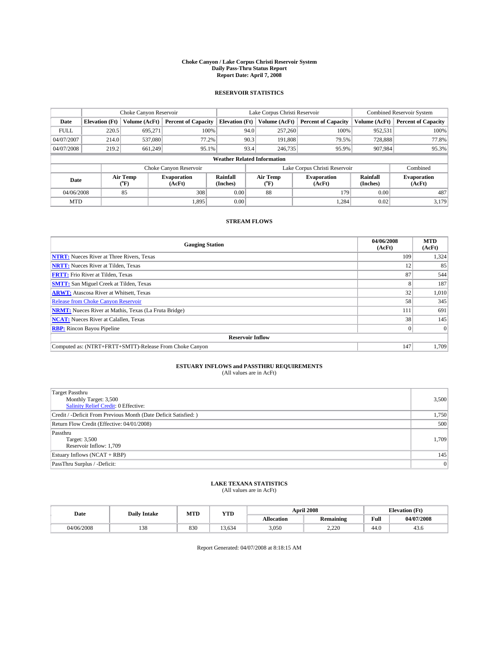### **Choke Canyon / Lake Corpus Christi Reservoir System Daily Pass-Thru Status Report Report Date: April 7, 2008**

### **RESERVOIR STATISTICS**

|             | Choke Canyon Reservoir             |                  |                              |                       | Lake Corpus Christi Reservoir |                  |                               |                      | <b>Combined Reservoir System</b> |  |
|-------------|------------------------------------|------------------|------------------------------|-----------------------|-------------------------------|------------------|-------------------------------|----------------------|----------------------------------|--|
| Date        | <b>Elevation</b> (Ft)              | Volume (AcFt)    | <b>Percent of Capacity</b>   | <b>Elevation</b> (Ft) |                               | Volume (AcFt)    | <b>Percent of Capacity</b>    | Volume (AcFt)        | <b>Percent of Capacity</b>       |  |
| <b>FULL</b> | 220.5                              | 695,271          | 100%                         |                       | 94.0                          | 257,260          | 100%                          | 952,531              | 100%                             |  |
| 04/07/2007  | 214.0                              | 537,080          | 77.2%                        |                       | 90.3                          | 191,808          | 79.5%                         | 728,888              | 77.8%                            |  |
| 04/07/2008  | 219.2                              | 661.249          | 95.1%                        |                       | 93.4                          | 246,735          | 95.9%                         | 907,984              | 95.3%                            |  |
|             | <b>Weather Related Information</b> |                  |                              |                       |                               |                  |                               |                      |                                  |  |
|             |                                    |                  | Choke Canyon Reservoir       |                       |                               |                  | Lake Corpus Christi Reservoir |                      | Combined                         |  |
| Date        |                                    | Air Temp<br>(°F) | <b>Evaporation</b><br>(AcFt) | Rainfall<br>(Inches)  |                               | Air Temp<br>("F) | <b>Evaporation</b><br>(AcFt)  | Rainfall<br>(Inches) | <b>Evaporation</b><br>(AcFt)     |  |
| 04/06/2008  |                                    | 85               | 308                          | 0.00                  |                               | 88               | 179                           | 0.00                 | 487                              |  |
| <b>MTD</b>  |                                    |                  | 1,895                        | 0.00                  |                               |                  | 1.284                         | 0.02                 | 3.179                            |  |

### **STREAM FLOWS**

| <b>Gauging Station</b>                                       | 04/06/2008<br>(AcFt) | <b>MTD</b><br>(AcFt) |
|--------------------------------------------------------------|----------------------|----------------------|
| <b>NTRT:</b> Nueces River at Three Rivers, Texas             | 109                  | 1,324                |
| <b>NRTT:</b> Nueces River at Tilden, Texas                   | 12                   | 85                   |
| <b>FRTT:</b> Frio River at Tilden, Texas                     | 87                   | 544                  |
| <b>SMTT:</b> San Miguel Creek at Tilden, Texas               | 8                    | 187                  |
| <b>ARWT:</b> Atascosa River at Whitsett, Texas               | 32                   | 1,010                |
| <b>Release from Choke Canyon Reservoir</b>                   | 58                   | 345                  |
| <b>NRMT:</b> Nueces River at Mathis, Texas (La Fruta Bridge) | 111                  | 691                  |
| <b>NCAT:</b> Nueces River at Calallen, Texas                 | 38                   | 145                  |
| <b>RBP:</b> Rincon Bayou Pipeline                            | $\vert 0 \vert$      |                      |
| <b>Reservoir Inflow</b>                                      |                      |                      |
| Computed as: (NTRT+FRTT+SMTT)-Release From Choke Canyon      | 147                  | 1.709                |

# **ESTUARY INFLOWS and PASSTHRU REQUIREMENTS**<br>(All values are in AcFt)

| <b>Target Passthru</b><br>Monthly Target: 3,500<br><b>Salinity Relief Credit: 0 Effective:</b> | 3,500 |
|------------------------------------------------------------------------------------------------|-------|
| Credit / -Deficit From Previous Month (Date Deficit Satisfied: )                               | 1,750 |
| Return Flow Credit (Effective: 04/01/2008)                                                     | 500   |
| Passthru<br>Target: 3,500<br>Reservoir Inflow: 1,709                                           | 1,709 |
| Estuary Inflows (NCAT + RBP)                                                                   | 145   |
| PassThru Surplus / -Deficit:                                                                   | 0     |

## **LAKE TEXANA STATISTICS** (All values are in AcFt)

| Date       | <b>Daily Intake</b> | MTD | <b>YTD</b>                    |            | <b>April 2008</b> | <b>Elevation</b> (Ft)                       |            |
|------------|---------------------|-----|-------------------------------|------------|-------------------|---------------------------------------------|------------|
|            |                     |     |                               | Allocation | <b>Remaining</b>  | Full<br>the contract of the contract of the | 04/07/2008 |
| 04/06/2008 | 138                 | 830 | $\ddot{\phantom{1}}$<br>3.634 | 3,050      | 220<br>4.440      | 44.0                                        | 45.0       |

Report Generated: 04/07/2008 at 8:18:15 AM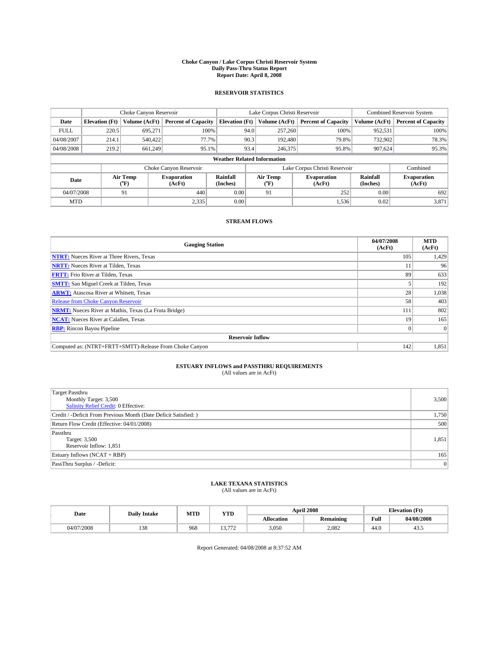### **Choke Canyon / Lake Corpus Christi Reservoir System Daily Pass-Thru Status Report Report Date: April 8, 2008**

### **RESERVOIR STATISTICS**

|             | Choke Canyon Reservoir             |                  |                              |                       | Lake Corpus Christi Reservoir |                  |                               |                      | <b>Combined Reservoir System</b> |  |
|-------------|------------------------------------|------------------|------------------------------|-----------------------|-------------------------------|------------------|-------------------------------|----------------------|----------------------------------|--|
| Date        | <b>Elevation</b> (Ft)              | Volume (AcFt)    | <b>Percent of Capacity</b>   | <b>Elevation</b> (Ft) |                               | Volume (AcFt)    | <b>Percent of Capacity</b>    | Volume (AcFt)        | <b>Percent of Capacity</b>       |  |
| <b>FULL</b> | 220.5                              | 695,271          | 100%                         |                       | 94.0                          | 257,260          | 100%                          | 952,531              | 100%                             |  |
| 04/08/2007  | 214.1                              | 540,422          | 77.7%                        |                       | 90.3                          | 192,480          | 79.8%                         | 732,902              | 78.3%                            |  |
| 04/08/2008  | 219.2                              | 661.249          | 95.1%                        |                       | 93.4                          | 246,375          | 95.8%                         | 907,624              | 95.3%                            |  |
|             | <b>Weather Related Information</b> |                  |                              |                       |                               |                  |                               |                      |                                  |  |
|             |                                    |                  | Choke Canyon Reservoir       |                       |                               |                  | Lake Corpus Christi Reservoir |                      | Combined                         |  |
| Date        |                                    | Air Temp<br>(°F) | <b>Evaporation</b><br>(AcFt) | Rainfall<br>(Inches)  |                               | Air Temp<br>("F) | <b>Evaporation</b><br>(AcFt)  | Rainfall<br>(Inches) | <b>Evaporation</b><br>(AcFt)     |  |
| 04/07/2008  |                                    | 91               | 440                          | 0.00                  |                               | 91               | 252                           | 0.00                 | 692                              |  |
| <b>MTD</b>  |                                    |                  | 2,335                        | 0.00                  |                               |                  | 1,536                         | 0.02                 | 3,871                            |  |

### **STREAM FLOWS**

| <b>Gauging Station</b>                                       | 04/07/2008<br>(AcFt) | <b>MTD</b><br>(AcFt) |
|--------------------------------------------------------------|----------------------|----------------------|
| <b>NTRT:</b> Nueces River at Three Rivers, Texas             | 105                  | 1,429                |
| <b>NRTT:</b> Nueces River at Tilden, Texas                   | 11                   | 96                   |
| <b>FRTT:</b> Frio River at Tilden, Texas                     | 89                   | 633                  |
| <b>SMTT:</b> San Miguel Creek at Tilden, Texas               |                      | 192                  |
| <b>ARWT:</b> Atascosa River at Whitsett, Texas               | 28                   | 1,038                |
| <b>Release from Choke Canyon Reservoir</b>                   | 58                   | 403                  |
| <b>NRMT:</b> Nueces River at Mathis, Texas (La Fruta Bridge) | 111                  | 802                  |
| <b>NCAT:</b> Nueces River at Calallen, Texas                 | 19                   | 165                  |
| <b>RBP:</b> Rincon Bayou Pipeline                            | $\vert 0 \vert$      | $\Omega$             |
| <b>Reservoir Inflow</b>                                      |                      |                      |
| Computed as: (NTRT+FRTT+SMTT)-Release From Choke Canyon      | 142                  | 1,851                |

# **ESTUARY INFLOWS and PASSTHRU REQUIREMENTS**<br>(All values are in AcFt)

| <b>Target Passthru</b><br>Monthly Target: 3,500<br><b>Salinity Relief Credit: 0 Effective:</b> | 3,500 |
|------------------------------------------------------------------------------------------------|-------|
| Credit / -Deficit From Previous Month (Date Deficit Satisfied: )                               | 1,750 |
| Return Flow Credit (Effective: 04/01/2008)                                                     | 500   |
| Passthru<br>Target: 3,500<br>Reservoir Inflow: 1,851                                           | 1,851 |
| Estuary Inflows (NCAT + RBP)                                                                   | 165   |
| PassThru Surplus / -Deficit:                                                                   | 0     |

## **LAKE TEXANA STATISTICS** (All values are in AcFt)

| Date       | <b>Daily Intake</b> | MTD | YTD |            | <b>April 2008</b> | <b>Elevation</b> (Ft) |            |
|------------|---------------------|-----|-----|------------|-------------------|-----------------------|------------|
|            |                     |     |     | Allocation | <b>Remaining</b>  | Full                  | 04/08/2008 |
| 04/07/2008 | 138                 | 968 | 772 | 3,050      | 2.082             | 44.0                  | 49.0       |

Report Generated: 04/08/2008 at 8:37:52 AM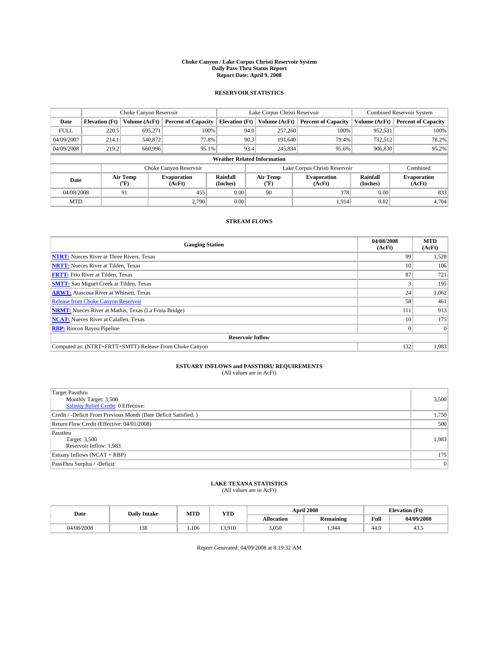### **Choke Canyon / Lake Corpus Christi Reservoir System Daily Pass-Thru Status Report Report Date: April 9, 2008**

### **RESERVOIR STATISTICS**

|             | Choke Canyon Reservoir             |                  |                              |                       | Lake Corpus Christi Reservoir | <b>Combined Reservoir System</b> |                      |                              |  |
|-------------|------------------------------------|------------------|------------------------------|-----------------------|-------------------------------|----------------------------------|----------------------|------------------------------|--|
| Date        | <b>Elevation</b> (Ft)              | Volume (AcFt)    | <b>Percent of Capacity</b>   | <b>Elevation</b> (Ft) | Volume (AcFt)                 | <b>Percent of Capacity</b>       | Volume (AcFt)        | <b>Percent of Capacity</b>   |  |
| <b>FULL</b> | 220.5                              | 695,271          | 100%                         |                       | 257,260<br>94.0               | 100%                             | 952,531              | 100%                         |  |
| 04/09/2007  | 214.1                              | 540,872          | 77.8%                        |                       | 90.3<br>191,640               | 79.4%                            | 732,512              | 78.2%                        |  |
| 04/09/2008  | 219.2                              | 660,996          | 95.1%                        | 93.4                  | 245,834                       | 95.6%                            | 906,830              | 95.2%                        |  |
|             | <b>Weather Related Information</b> |                  |                              |                       |                               |                                  |                      |                              |  |
|             |                                    |                  | Choke Canyon Reservoir       |                       |                               | Lake Corpus Christi Reservoir    |                      | Combined                     |  |
| Date        |                                    | Air Temp<br>(°F) | <b>Evaporation</b><br>(AcFt) | Rainfall<br>(Inches)  | Air Temp<br>("F)              | <b>Evaporation</b><br>(AcFt)     | Rainfall<br>(Inches) | <b>Evaporation</b><br>(AcFt) |  |
| 04/08/2008  |                                    | 91               | 455                          | 0.00                  | 90                            | 378                              | 0.00                 | 833                          |  |
| <b>MTD</b>  |                                    |                  | 2.790                        | 0.00                  |                               | 1.914                            | 0.02                 | 4,704                        |  |

### **STREAM FLOWS**

| <b>Gauging Station</b>                                       | 04/08/2008<br>(AcFt) | <b>MTD</b><br>(AcFt) |
|--------------------------------------------------------------|----------------------|----------------------|
| <b>NTRT:</b> Nueces River at Three Rivers, Texas             | 99                   | 1,528                |
| <b>NRTT:</b> Nueces River at Tilden, Texas                   | 10                   | 106                  |
| <b>FRTT:</b> Frio River at Tilden, Texas                     | 87                   | 721                  |
| <b>SMTT:</b> San Miguel Creek at Tilden, Texas               |                      | 195                  |
| <b>ARWT:</b> Atascosa River at Whitsett, Texas               | 24                   | 1,062                |
| <b>Release from Choke Canyon Reservoir</b>                   | 58                   | 461                  |
| <b>NRMT:</b> Nueces River at Mathis, Texas (La Fruta Bridge) | 111                  | 913                  |
| <b>NCAT:</b> Nueces River at Calallen, Texas                 | 10                   | 175                  |
| <b>RBP:</b> Rincon Bayou Pipeline                            | $\vert 0 \vert$      | $\Omega$             |
| <b>Reservoir Inflow</b>                                      |                      |                      |
| Computed as: (NTRT+FRTT+SMTT)-Release From Choke Canyon      | 132                  | 1,983                |

# **ESTUARY INFLOWS and PASSTHRU REQUIREMENTS**<br>(All values are in AcFt)

| <b>Target Passthru</b><br>Monthly Target: 3,500<br><b>Salinity Relief Credit: 0 Effective:</b> | 3,500 |
|------------------------------------------------------------------------------------------------|-------|
| Credit / -Deficit From Previous Month (Date Deficit Satisfied: )                               | 1,750 |
| Return Flow Credit (Effective: 04/01/2008)                                                     | 500   |
| Passthru<br>Target: 3,500<br>Reservoir Inflow: 1,983                                           | 1,983 |
| Estuary Inflows (NCAT + RBP)                                                                   | 175   |
| PassThru Surplus / -Deficit:                                                                   | 0     |

## **LAKE TEXANA STATISTICS** (All values are in AcFt)

| Date       | <b>Daily Intake</b> | MTD  | YTD    |            | <b>April 2008</b> | <b>Elevation</b> (Ft) |            |
|------------|---------------------|------|--------|------------|-------------------|-----------------------|------------|
|            |                     |      |        | Allocation | <b>Remaining</b>  | Full                  | 04/09/2008 |
| 04/08/2008 | 138                 | .106 | 13.910 | 3,050      | .944              | 44.0                  | 40.0       |

Report Generated: 04/09/2008 at 8:19:32 AM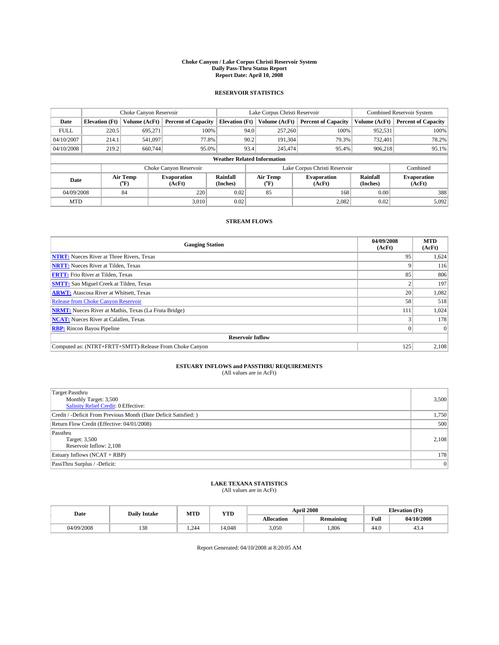### **Choke Canyon / Lake Corpus Christi Reservoir System Daily Pass-Thru Status Report Report Date: April 10, 2008**

### **RESERVOIR STATISTICS**

|                                    | Choke Canyon Reservoir |                             |                              |                       | Lake Corpus Christi Reservoir | <b>Combined Reservoir System</b> |                      |                              |
|------------------------------------|------------------------|-----------------------------|------------------------------|-----------------------|-------------------------------|----------------------------------|----------------------|------------------------------|
| Date                               | <b>Elevation</b> (Ft)  | Volume (AcFt)               | <b>Percent of Capacity</b>   | <b>Elevation</b> (Ft) | Volume (AcFt)                 | <b>Percent of Capacity</b>       | Volume (AcFt)        | <b>Percent of Capacity</b>   |
| <b>FULL</b>                        | 220.5                  | 695,271                     | 100%                         | 94.0                  | 257,260                       | 100%                             | 952,531              | 100%                         |
| 04/10/2007                         | 214.1                  | 541,097                     | 77.8%                        | 90.2                  | 191,304                       | 79.3%                            | 732,401              | 78.2%                        |
| 04/10/2008                         | 219.2                  | 660,744                     | 95.0%                        | 93.4                  | 245,474                       | 95.4%                            | 906.218              | 95.1%                        |
| <b>Weather Related Information</b> |                        |                             |                              |                       |                               |                                  |                      |                              |
|                                    |                        |                             | Choke Canyon Reservoir       |                       |                               | Lake Corpus Christi Reservoir    |                      | Combined                     |
| Date                               |                        | Air Temp<br>${}^{\circ}$ F) | <b>Evaporation</b><br>(AcFt) | Rainfall<br>(Inches)  | Air Temp<br>("F)              | <b>Evaporation</b><br>(AcFt)     | Rainfall<br>(Inches) | <b>Evaporation</b><br>(AcFt) |
| 04/09/2008                         |                        | 84                          | 220                          | 0.02                  | 85                            | 168                              | 0.00                 | 388                          |
| <b>MTD</b>                         |                        |                             | 3,010                        | 0.02                  |                               | 2,082                            | 0.02                 | 5,092                        |

## **STREAM FLOWS**

| <b>Gauging Station</b>                                       | 04/09/2008<br>(AcFt) | <b>MTD</b><br>(AcFt) |  |  |  |  |
|--------------------------------------------------------------|----------------------|----------------------|--|--|--|--|
| <b>NTRT:</b> Nueces River at Three Rivers, Texas             | 95                   | 1,624                |  |  |  |  |
| <b>NRTT:</b> Nueces River at Tilden, Texas                   | Q                    | 116                  |  |  |  |  |
| <b>FRTT:</b> Frio River at Tilden, Texas                     | 85                   | 806                  |  |  |  |  |
| <b>SMTT:</b> San Miguel Creek at Tilden, Texas               |                      | 197                  |  |  |  |  |
| <b>ARWT:</b> Atascosa River at Whitsett, Texas               | 20                   | 1,082                |  |  |  |  |
| <b>Release from Choke Canyon Reservoir</b>                   | 58                   | 518                  |  |  |  |  |
| <b>NRMT:</b> Nueces River at Mathis, Texas (La Fruta Bridge) | 111                  | 1,024                |  |  |  |  |
| <b>NCAT:</b> Nueces River at Calallen, Texas                 |                      | 178                  |  |  |  |  |
| <b>RBP:</b> Rincon Bayou Pipeline                            | $\vert 0 \vert$      |                      |  |  |  |  |
| <b>Reservoir Inflow</b>                                      |                      |                      |  |  |  |  |
| Computed as: (NTRT+FRTT+SMTT)-Release From Choke Canyon      | 125                  | 2,108                |  |  |  |  |

# **ESTUARY INFLOWS and PASSTHRU REQUIREMENTS**<br>(All values are in AcFt)

| <b>Target Passthru</b>                                           |                |
|------------------------------------------------------------------|----------------|
| Monthly Target: 3,500                                            | 3,500          |
| <b>Salinity Relief Credit: 0 Effective:</b>                      |                |
| Credit / -Deficit From Previous Month (Date Deficit Satisfied: ) | 1,750          |
| Return Flow Credit (Effective: 04/01/2008)                       | 500            |
| Passthru                                                         |                |
| Target: 3,500                                                    | 2,108          |
| Reservoir Inflow: 2,108                                          |                |
| Estuary Inflows (NCAT + RBP)                                     | 178            |
| PassThru Surplus / -Deficit:                                     | $\overline{0}$ |

## **LAKE TEXANA STATISTICS** (All values are in AcFt)

| Date       | <b>Daily Intake</b> | MTD  | <b>YTD</b> |            | <b>April 2008</b> | <b>Elevation</b> (Ft)                       |            |
|------------|---------------------|------|------------|------------|-------------------|---------------------------------------------|------------|
|            |                     |      |            | Allocation | <b>Remaining</b>  | Full<br>the contract of the contract of the | 04/10/2008 |
| 04/09/2008 | 138                 | .244 | 14.048     | 3,050      | .806              | 44.0                                        | 43.4       |

Report Generated: 04/10/2008 at 8:20:05 AM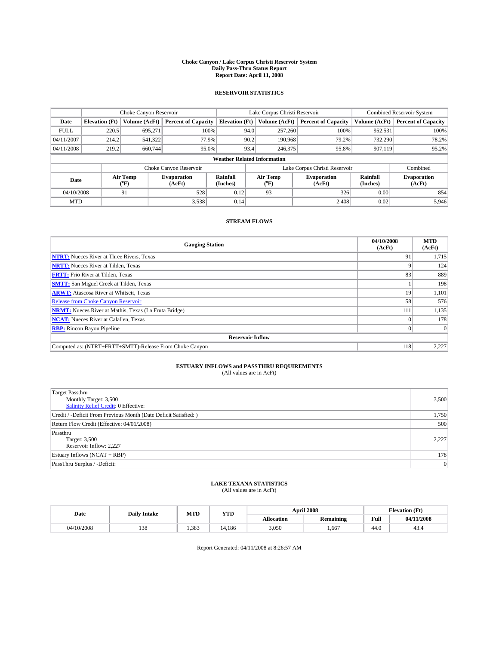### **Choke Canyon / Lake Corpus Christi Reservoir System Daily Pass-Thru Status Report Report Date: April 11, 2008**

### **RESERVOIR STATISTICS**

|                                    | Choke Canyon Reservoir |                  |                              |                       | Lake Corpus Christi Reservoir |                  |                               |                      | <b>Combined Reservoir System</b> |  |
|------------------------------------|------------------------|------------------|------------------------------|-----------------------|-------------------------------|------------------|-------------------------------|----------------------|----------------------------------|--|
| Date                               | <b>Elevation</b> (Ft)  | Volume (AcFt)    | <b>Percent of Capacity</b>   | <b>Elevation</b> (Ft) |                               | Volume (AcFt)    | <b>Percent of Capacity</b>    | Volume (AcFt)        | <b>Percent of Capacity</b>       |  |
| <b>FULL</b>                        | 220.5                  | 695,271          |                              | 100%                  | 94.0                          | 257,260          | 100%                          | 952,531              | 100%                             |  |
| 04/11/2007                         | 214.2                  | 541,322          | 77.9%                        |                       | 90.2                          | 190,968          | 79.2%                         | 732,290              | 78.2%                            |  |
| 04/11/2008                         | 219.2                  | 660,744          | 95.0%                        |                       | 93.4                          | 246,375          | 95.8%                         | 907,119              | 95.2%                            |  |
| <b>Weather Related Information</b> |                        |                  |                              |                       |                               |                  |                               |                      |                                  |  |
|                                    |                        |                  | Choke Canyon Reservoir       |                       |                               |                  | Lake Corpus Christi Reservoir |                      | Combined                         |  |
| Date                               |                        | Air Temp<br>(°F) | <b>Evaporation</b><br>(AcFt) | Rainfall<br>(Inches)  |                               | Air Temp<br>("F) | <b>Evaporation</b><br>(AcFt)  | Rainfall<br>(Inches) | <b>Evaporation</b><br>(AcFt)     |  |
| 04/10/2008                         |                        | 91               | 528                          | 0.12                  |                               | 93               | 326                           | 0.00                 | 854                              |  |
| <b>MTD</b>                         |                        |                  | 3,538                        | 0.14                  |                               |                  | 2,408                         | 0.02                 | 5,946                            |  |

### **STREAM FLOWS**

| <b>Gauging Station</b>                                       | 04/10/2008<br>(AcFt) | <b>MTD</b><br>(AcFt) |
|--------------------------------------------------------------|----------------------|----------------------|
| <b>NTRT:</b> Nueces River at Three Rivers, Texas             | 91                   | 1,715                |
| <b>NRTT:</b> Nueces River at Tilden, Texas                   | Q                    | 124                  |
| <b>FRTT:</b> Frio River at Tilden, Texas                     | 83                   | 889                  |
| <b>SMTT:</b> San Miguel Creek at Tilden, Texas               |                      | 198                  |
| <b>ARWT:</b> Atascosa River at Whitsett, Texas               | 19                   | 1,101                |
| <b>Release from Choke Canyon Reservoir</b>                   | 58                   | 576                  |
| <b>NRMT:</b> Nueces River at Mathis, Texas (La Fruta Bridge) | 111                  | 1,135                |
| <b>NCAT:</b> Nueces River at Calallen, Texas                 | $\Omega$             | 178                  |
| <b>RBP:</b> Rincon Bayou Pipeline                            | $\vert 0 \vert$      | $\Omega$             |
| <b>Reservoir Inflow</b>                                      |                      |                      |
| Computed as: (NTRT+FRTT+SMTT)-Release From Choke Canyon      | 118                  | 2,227                |

# **ESTUARY INFLOWS and PASSTHRU REQUIREMENTS**<br>(All values are in AcFt)

| <b>Target Passthru</b>                                           |                |
|------------------------------------------------------------------|----------------|
| Monthly Target: 3,500                                            | 3,500          |
| <b>Salinity Relief Credit: 0 Effective:</b>                      |                |
| Credit / -Deficit From Previous Month (Date Deficit Satisfied: ) | 1,750          |
| Return Flow Credit (Effective: 04/01/2008)                       | 500            |
| Passthru                                                         |                |
| Target: 3,500                                                    | 2,227          |
| Reservoir Inflow: 2,227                                          |                |
| Estuary Inflows (NCAT + RBP)                                     | 178            |
| PassThru Surplus / -Deficit:                                     | $\overline{0}$ |

## **LAKE TEXANA STATISTICS** (All values are in AcFt)

| Date       | <b>Daily Intake</b> | MTD  | YTD    |            | <b>April 2008</b> | <b>Elevation</b> (Ft) |            |
|------------|---------------------|------|--------|------------|-------------------|-----------------------|------------|
|            |                     |      |        | Allocation | <b>Remaining</b>  | Full                  | 04/11/2008 |
| 04/10/2008 | 100<br>120          | .383 | 14.186 | 3,050      | .667              | 44.0                  | 45.4       |

Report Generated: 04/11/2008 at 8:26:57 AM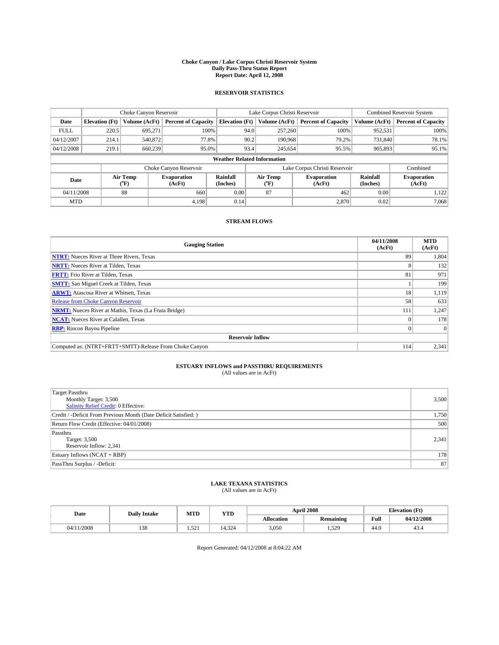### **Choke Canyon / Lake Corpus Christi Reservoir System Daily Pass-Thru Status Report Report Date: April 12, 2008**

### **RESERVOIR STATISTICS**

|             | Choke Canyon Reservoir             |                  |                              |                       | Lake Corpus Christi Reservoir |               |                               |                             | <b>Combined Reservoir System</b> |  |
|-------------|------------------------------------|------------------|------------------------------|-----------------------|-------------------------------|---------------|-------------------------------|-----------------------------|----------------------------------|--|
| Date        | <b>Elevation</b> (Ft)              | Volume (AcFt)    | <b>Percent of Capacity</b>   | <b>Elevation</b> (Ft) |                               | Volume (AcFt) | <b>Percent of Capacity</b>    | Volume (AcFt)               | <b>Percent of Capacity</b>       |  |
| <b>FULL</b> | 220.5                              | 695,271          | 100%                         |                       | 94.0                          | 257,260       | 100%                          | 952,531                     | 100%                             |  |
| 04/12/2007  | 214.1                              | 540,872          | 77.8%                        |                       | 90.2                          | 190,968       | 79.2%                         | 731,840                     | 78.1%                            |  |
| 04/12/2008  | 219.1                              | 660,239          | 95.0%                        |                       | 93.4                          | 245,654       | 95.5%                         | 905,893                     | 95.1%                            |  |
|             | <b>Weather Related Information</b> |                  |                              |                       |                               |               |                               |                             |                                  |  |
|             |                                    |                  | Choke Canyon Reservoir       |                       |                               |               | Lake Corpus Christi Reservoir |                             | Combined                         |  |
| Date        |                                    | Air Temp<br>(°F) | <b>Evaporation</b><br>(AcFt) | Rainfall<br>(Inches)  | Air Temp<br>("F)              |               | <b>Evaporation</b><br>(AcFt)  | <b>Rainfall</b><br>(Inches) | <b>Evaporation</b><br>(AcFt)     |  |
| 04/11/2008  |                                    | 88               | 660                          | 0.00                  | 87                            |               | 462                           | 0.00                        | 1.122                            |  |
| <b>MTD</b>  |                                    |                  | 4.198                        | 0.14                  |                               |               | 2,870                         | 0.02                        | 7.068                            |  |

### **STREAM FLOWS**

| <b>Gauging Station</b>                                       | 04/11/2008<br>(AcFt) | <b>MTD</b><br>(AcFt) |
|--------------------------------------------------------------|----------------------|----------------------|
| <b>NTRT:</b> Nueces River at Three Rivers, Texas             | 89                   | 1,804                |
| <b>NRTT:</b> Nueces River at Tilden, Texas                   |                      | 132                  |
| <b>FRTT:</b> Frio River at Tilden, Texas                     | 81                   | 971                  |
| <b>SMTT:</b> San Miguel Creek at Tilden, Texas               |                      | 199                  |
| <b>ARWT:</b> Atascosa River at Whitsett, Texas               | 18                   | 1,119                |
| <b>Release from Choke Canyon Reservoir</b>                   | 58                   | 633                  |
| <b>NRMT:</b> Nueces River at Mathis, Texas (La Fruta Bridge) | 111                  | 1,247                |
| <b>NCAT:</b> Nueces River at Calallen, Texas                 | $\Omega$             | 178                  |
| <b>RBP:</b> Rincon Bayou Pipeline                            | $\vert 0 \vert$      | $\Omega$             |
| <b>Reservoir Inflow</b>                                      |                      |                      |
| Computed as: (NTRT+FRTT+SMTT)-Release From Choke Canyon      | 114                  | 2,341                |

# **ESTUARY INFLOWS and PASSTHRU REQUIREMENTS**<br>(All values are in AcFt)

| <b>Target Passthru</b><br>Monthly Target: 3,500<br><b>Salinity Relief Credit: 0 Effective:</b> | 3,500 |
|------------------------------------------------------------------------------------------------|-------|
| Credit / -Deficit From Previous Month (Date Deficit Satisfied: )                               | 1,750 |
| Return Flow Credit (Effective: 04/01/2008)                                                     | 500   |
| Passthru<br>Target: 3,500<br>Reservoir Inflow: 2,341                                           | 2,341 |
| Estuary Inflows (NCAT + RBP)                                                                   | 178   |
| PassThru Surplus / -Deficit:                                                                   | 87    |

## **LAKE TEXANA STATISTICS** (All values are in AcFt)

| Date       | <b>Daily Intake</b> | MTD                   | <b>YTD</b> |            | <b>April 2008</b> | <b>Elevation</b> (Ft)                       |            |  |
|------------|---------------------|-----------------------|------------|------------|-------------------|---------------------------------------------|------------|--|
|            |                     |                       |            | Allocation | <b>Remaining</b>  | Full<br>the contract of the contract of the | 04/12/2008 |  |
| 04/11/2008 | 138                 | $50^{\circ}$<br>1.741 | 14.324     | 3,050      | .529              | 44.0                                        | 43.4       |  |

Report Generated: 04/12/2008 at 8:04:22 AM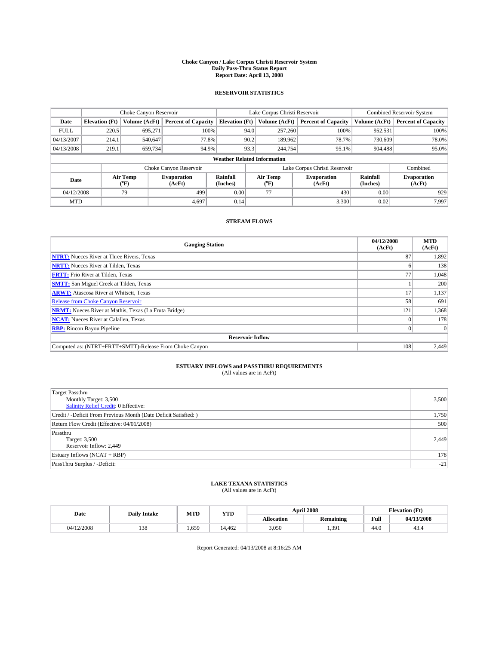### **Choke Canyon / Lake Corpus Christi Reservoir System Daily Pass-Thru Status Report Report Date: April 13, 2008**

### **RESERVOIR STATISTICS**

|             | Choke Canyon Reservoir             |                  |                              |                       | Lake Corpus Christi Reservoir |                  |                               |                      | <b>Combined Reservoir System</b> |  |
|-------------|------------------------------------|------------------|------------------------------|-----------------------|-------------------------------|------------------|-------------------------------|----------------------|----------------------------------|--|
| Date        | <b>Elevation</b> (Ft)              | Volume (AcFt)    | <b>Percent of Capacity</b>   | <b>Elevation</b> (Ft) |                               | Volume (AcFt)    | <b>Percent of Capacity</b>    | Volume (AcFt)        | <b>Percent of Capacity</b>       |  |
| <b>FULL</b> | 220.5                              | 695,271          |                              | 100%                  | 94.0                          | 257,260          | 100%                          | 952,531              | 100%                             |  |
| 04/13/2007  | 214.1                              | 540,647          | 77.8%                        |                       | 90.2                          | 189,962          | 78.7%                         | 730,609              | 78.0%                            |  |
| 04/13/2008  | 219.1                              | 659,734          | 94.9%                        |                       | 93.3                          | 244,754          | 95.1%                         | 904.488              | 95.0%                            |  |
|             | <b>Weather Related Information</b> |                  |                              |                       |                               |                  |                               |                      |                                  |  |
|             |                                    |                  | Choke Canyon Reservoir       |                       |                               |                  | Lake Corpus Christi Reservoir |                      | Combined                         |  |
| Date        |                                    | Air Temp<br>(°F) | <b>Evaporation</b><br>(AcFt) | Rainfall<br>(Inches)  |                               | Air Temp<br>("F) | <b>Evaporation</b><br>(AcFt)  | Rainfall<br>(Inches) | <b>Evaporation</b><br>(AcFt)     |  |
| 04/12/2008  |                                    | 79               | 499                          | 0.00                  |                               | 77               | 430                           | 0.00                 | 929                              |  |
| <b>MTD</b>  |                                    |                  | 4,697                        | 0.14                  |                               |                  | 3,300                         | 0.02                 | 7.997                            |  |

### **STREAM FLOWS**

| <b>Gauging Station</b>                                       | 04/12/2008<br>(AcFt) | <b>MTD</b><br>(AcFt) |
|--------------------------------------------------------------|----------------------|----------------------|
| <b>NTRT:</b> Nueces River at Three Rivers, Texas             | 87                   | 1,892                |
| <b>NRTT:</b> Nueces River at Tilden, Texas                   | n.                   | 138                  |
| <b>FRTT:</b> Frio River at Tilden, Texas                     | 77                   | 1,048                |
| <b>SMTT:</b> San Miguel Creek at Tilden, Texas               |                      | 200                  |
| <b>ARWT:</b> Atascosa River at Whitsett, Texas               | 17                   | 1,137                |
| <b>Release from Choke Canyon Reservoir</b>                   | 58                   | 691                  |
| <b>NRMT:</b> Nueces River at Mathis, Texas (La Fruta Bridge) | 121                  | 1,368                |
| <b>NCAT:</b> Nueces River at Calallen, Texas                 | $\theta$             | 178                  |
| <b>RBP:</b> Rincon Bayou Pipeline                            | $\vert 0 \vert$      | $\Omega$             |
| <b>Reservoir Inflow</b>                                      |                      |                      |
| Computed as: (NTRT+FRTT+SMTT)-Release From Choke Canyon      | 108                  | 2,449                |

# **ESTUARY INFLOWS and PASSTHRU REQUIREMENTS**<br>(All values are in AcFt)

| <b>Target Passthru</b><br>Monthly Target: 3,500<br><b>Salinity Relief Credit: 0 Effective:</b> | 3,500 |
|------------------------------------------------------------------------------------------------|-------|
| Credit / -Deficit From Previous Month (Date Deficit Satisfied: )                               | 1,750 |
| Return Flow Credit (Effective: 04/01/2008)                                                     | 500   |
| Passthru<br>Target: 3,500<br>Reservoir Inflow: 2,449                                           | 2,449 |
| Estuary Inflows (NCAT + RBP)                                                                   | 178   |
| PassThru Surplus / -Deficit:                                                                   | $-21$ |

## **LAKE TEXANA STATISTICS** (All values are in AcFt)

| Date       | <b>Daily Intake</b> | MTD   | <b>YTD</b> |            | <b>April 2008</b> | <b>Elevation</b> (Ft)                       |            |
|------------|---------------------|-------|------------|------------|-------------------|---------------------------------------------|------------|
|            |                     |       |            | Allocation | <b>Remaining</b>  | Full<br>the contract of the contract of the | 04/13/2008 |
| 04/12/2008 | 138                 | 1.659 | 14.462     | 3,050      | 1.391             | 44.0                                        | 43.4       |

Report Generated: 04/13/2008 at 8:16:25 AM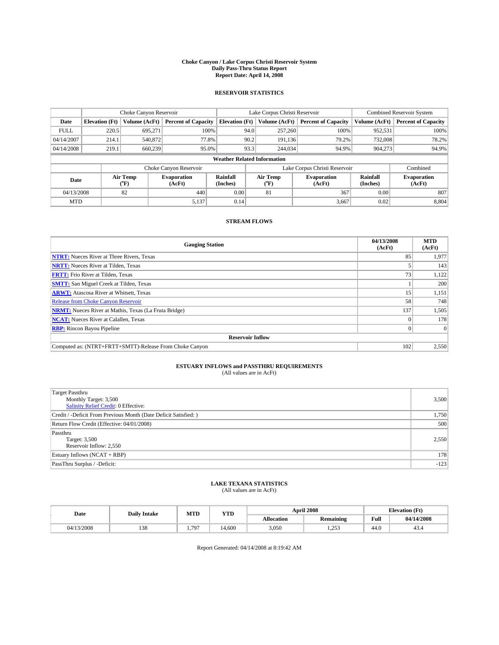### **Choke Canyon / Lake Corpus Christi Reservoir System Daily Pass-Thru Status Report Report Date: April 14, 2008**

### **RESERVOIR STATISTICS**

|             | Choke Canyon Reservoir             |                  |                              |                       | Lake Corpus Christi Reservoir |                  |                               |                      | <b>Combined Reservoir System</b> |  |  |
|-------------|------------------------------------|------------------|------------------------------|-----------------------|-------------------------------|------------------|-------------------------------|----------------------|----------------------------------|--|--|
| Date        | <b>Elevation</b> (Ft)              | Volume (AcFt)    | <b>Percent of Capacity</b>   | <b>Elevation</b> (Ft) |                               | Volume (AcFt)    | <b>Percent of Capacity</b>    | Volume (AcFt)        | <b>Percent of Capacity</b>       |  |  |
| <b>FULL</b> | 220.5                              | 695,271          | 100%                         |                       | 94.0                          | 257,260          | 100%                          | 952,531              | 100%                             |  |  |
| 04/14/2007  | 214.1                              | 540,872          | 77.8%                        |                       | 90.2                          | 191.136          | 79.2%                         | 732,008              | 78.2%                            |  |  |
| 04/14/2008  | 219.1                              | 660,239          | 95.0%                        |                       | 93.3                          | 244,034          | 94.9%                         | 904.273              | 94.9%                            |  |  |
|             | <b>Weather Related Information</b> |                  |                              |                       |                               |                  |                               |                      |                                  |  |  |
|             |                                    |                  | Choke Canyon Reservoir       |                       |                               |                  | Lake Corpus Christi Reservoir |                      | Combined                         |  |  |
| Date        |                                    | Air Temp<br>(°F) | <b>Evaporation</b><br>(AcFt) | Rainfall<br>(Inches)  |                               | Air Temp<br>("F) | <b>Evaporation</b><br>(AcFt)  | Rainfall<br>(Inches) | <b>Evaporation</b><br>(AcFt)     |  |  |
| 04/13/2008  |                                    | 82               | 440                          | 0.00                  |                               | 81               | 367                           | 0.00                 | 807                              |  |  |
| <b>MTD</b>  |                                    |                  | 5,137                        | 0.14                  |                               |                  | 3,667                         | 0.02                 | 8,804                            |  |  |

### **STREAM FLOWS**

| <b>Gauging Station</b>                                       | 04/13/2008<br>(AcFt) | <b>MTD</b><br>(AcFt) |
|--------------------------------------------------------------|----------------------|----------------------|
| <b>NTRT:</b> Nueces River at Three Rivers, Texas             | 85                   | 1,977                |
| <b>NRTT:</b> Nueces River at Tilden, Texas                   |                      | 143                  |
| <b>FRTT:</b> Frio River at Tilden, Texas                     | 73 <sub>1</sub>      | 1,122                |
| <b>SMTT:</b> San Miguel Creek at Tilden, Texas               |                      | 200                  |
| <b>ARWT:</b> Atascosa River at Whitsett, Texas               | 15                   | 1,151                |
| <b>Release from Choke Canyon Reservoir</b>                   | 58                   | 748                  |
| <b>NRMT:</b> Nueces River at Mathis, Texas (La Fruta Bridge) | 137                  | 1,505                |
| <b>NCAT:</b> Nueces River at Calallen, Texas                 | $\Omega$             | 178                  |
| <b>RBP:</b> Rincon Bayou Pipeline                            | $\vert 0 \vert$      | $\Omega$             |
| <b>Reservoir Inflow</b>                                      |                      |                      |
| Computed as: (NTRT+FRTT+SMTT)-Release From Choke Canyon      | 102                  | 2,550                |

# **ESTUARY INFLOWS and PASSTHRU REQUIREMENTS**<br>(All values are in AcFt)

| <b>Target Passthru</b><br>Monthly Target: 3,500<br><b>Salinity Relief Credit: 0 Effective:</b> | 3,500  |
|------------------------------------------------------------------------------------------------|--------|
| Credit / -Deficit From Previous Month (Date Deficit Satisfied: )                               | 1,750  |
| Return Flow Credit (Effective: 04/01/2008)                                                     | 500    |
| Passthru<br>Target: 3,500<br>Reservoir Inflow: 2,550                                           | 2,550  |
| Estuary Inflows (NCAT + RBP)                                                                   | 178    |
| PassThru Surplus / -Deficit:                                                                   | $-123$ |

## **LAKE TEXANA STATISTICS** (All values are in AcFt)

| Date       | <b>Daily Intake</b> | MTD  | <b>YTD</b> |            | <b>April 2008</b> | <b>Elevation</b> (Ft)                       |            |
|------------|---------------------|------|------------|------------|-------------------|---------------------------------------------|------------|
|            |                     |      |            | Allocation | <b>Remaining</b>  | Full<br>the contract of the contract of the | 04/14/2008 |
| 04/13/2008 | 138                 | .797 | 14.600     | 3,050      | 253<br>.          | 44.0                                        | 43.4       |

Report Generated: 04/14/2008 at 8:19:42 AM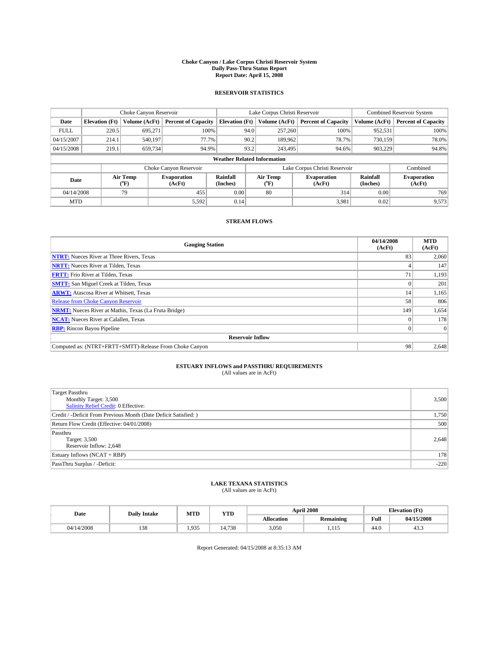### **Choke Canyon / Lake Corpus Christi Reservoir System Daily Pass-Thru Status Report Report Date: April 15, 2008**

### **RESERVOIR STATISTICS**

|             | Choke Canyon Reservoir             |                             |                              |                       | Lake Corpus Christi Reservoir |  |                               |                      | Combined Reservoir System    |  |
|-------------|------------------------------------|-----------------------------|------------------------------|-----------------------|-------------------------------|--|-------------------------------|----------------------|------------------------------|--|
| Date        | <b>Elevation</b> (Ft)              | Volume (AcFt)               | <b>Percent of Capacity</b>   | <b>Elevation</b> (Ft) | Volume (AcFt)                 |  | <b>Percent of Capacity</b>    | Volume (AcFt)        | <b>Percent of Capacity</b>   |  |
| <b>FULL</b> | 220.5                              | 695,271                     | 100%                         |                       | 257,260<br>94.0               |  | 100%                          | 952,531              | 100%                         |  |
| 04/15/2007  | 214.1                              | 540,197                     | 77.7%                        |                       | 90.2<br>189,962               |  | 78.7%                         | 730.159              | 78.0%                        |  |
| 04/15/2008  | 219.1                              | 659,734                     | 94.9%                        |                       | 93.2<br>243.495               |  | 94.6%                         | 903.229              | 94.8%                        |  |
|             | <b>Weather Related Information</b> |                             |                              |                       |                               |  |                               |                      |                              |  |
|             |                                    |                             | Choke Canyon Reservoir       |                       |                               |  | Lake Corpus Christi Reservoir |                      | Combined                     |  |
| Date        |                                    | Air Temp<br>${}^{\circ}$ F) | <b>Evaporation</b><br>(AcFt) | Rainfall<br>(Inches)  | Air Temp<br>("F)              |  | <b>Evaporation</b><br>(AcFt)  | Rainfall<br>(Inches) | <b>Evaporation</b><br>(AcFt) |  |
| 04/14/2008  |                                    | 79                          | 455                          | 0.00                  | 80                            |  | 314                           | 0.00                 | 769                          |  |
| <b>MTD</b>  |                                    |                             | 5,592                        | 0.14                  |                               |  | 3,981                         | 0.02                 | 9,573                        |  |

### **STREAM FLOWS**

| <b>Gauging Station</b>                                       | 04/14/2008<br>(AcFt) | <b>MTD</b><br>(AcFt) |
|--------------------------------------------------------------|----------------------|----------------------|
| <b>NTRT:</b> Nueces River at Three Rivers, Texas             | 83                   | 2,060                |
| <b>NRTT:</b> Nueces River at Tilden, Texas                   |                      | 147                  |
| <b>FRTT:</b> Frio River at Tilden, Texas                     | 71                   | 1,193                |
| <b>SMTT:</b> San Miguel Creek at Tilden, Texas               |                      | 201                  |
| <b>ARWT:</b> Atascosa River at Whitsett, Texas               | 14                   | 1,165                |
| <b>Release from Choke Canyon Reservoir</b>                   | 58                   | 806                  |
| <b>NRMT:</b> Nueces River at Mathis, Texas (La Fruta Bridge) | 149                  | 1,654                |
| <b>NCAT:</b> Nueces River at Calallen, Texas                 | $\theta$             | 178                  |
| <b>RBP:</b> Rincon Bayou Pipeline                            | $\vert 0 \vert$      | $\Omega$             |
| <b>Reservoir Inflow</b>                                      |                      |                      |
| Computed as: (NTRT+FRTT+SMTT)-Release From Choke Canyon      | 98                   | 2,648                |

# **ESTUARY INFLOWS and PASSTHRU REQUIREMENTS**<br>(All values are in AcFt)

| <b>Target Passthru</b><br>Monthly Target: 3,500<br><b>Salinity Relief Credit: 0 Effective:</b> | 3,500  |
|------------------------------------------------------------------------------------------------|--------|
|                                                                                                |        |
| Credit / -Deficit From Previous Month (Date Deficit Satisfied: )                               | 1,750  |
| Return Flow Credit (Effective: 04/01/2008)                                                     | 500    |
| Passthru                                                                                       |        |
| Target: 3,500                                                                                  | 2,648  |
| Reservoir Inflow: 2,648                                                                        |        |
| Estuary Inflows (NCAT + RBP)                                                                   | 178    |
| PassThru Surplus / -Deficit:                                                                   | $-220$ |
|                                                                                                |        |

## **LAKE TEXANA STATISTICS** (All values are in AcFt)

| Date       | <b>Daily Intake</b> | MTD   | YTD    |            | <b>April 2008</b> | <b>Elevation</b> (Ft) |            |
|------------|---------------------|-------|--------|------------|-------------------|-----------------------|------------|
|            |                     |       |        | Allocation | <b>Remaining</b>  | Full                  | 04/15/2008 |
| 04/14/2008 | 138                 | 1.935 | 14.738 | 3,050      | 1.11J             | 44.0                  | 40.3       |

Report Generated: 04/15/2008 at 8:35:13 AM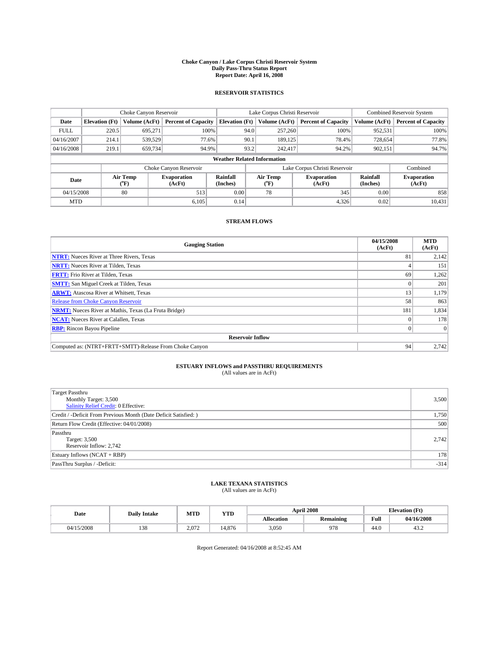### **Choke Canyon / Lake Corpus Christi Reservoir System Daily Pass-Thru Status Report Report Date: April 16, 2008**

### **RESERVOIR STATISTICS**

|             | Choke Canyon Reservoir             |                  |                              |                       | Lake Corpus Christi Reservoir |                  |                               |                             | <b>Combined Reservoir System</b> |  |
|-------------|------------------------------------|------------------|------------------------------|-----------------------|-------------------------------|------------------|-------------------------------|-----------------------------|----------------------------------|--|
| Date        | <b>Elevation</b> (Ft)              | Volume (AcFt)    | <b>Percent of Capacity</b>   | <b>Elevation (Ft)</b> |                               | Volume (AcFt)    | <b>Percent of Capacity</b>    | Volume (AcFt)               | <b>Percent of Capacity</b>       |  |
| <b>FULL</b> | 220.5                              | 695,271          | 100%                         |                       | 94.0                          | 257,260          | 100%                          | 952,531                     | 100%                             |  |
| 04/16/2007  | 214.1                              | 539,529          | 77.6%                        |                       | 90.1                          | 189,125          | 78.4%                         | 728,654                     | 77.8%                            |  |
| 04/16/2008  | 219.1                              | 659,734          | 94.9%                        |                       | 93.2                          | 242,417          | 94.2%                         | 902,151                     | 94.7%                            |  |
|             | <b>Weather Related Information</b> |                  |                              |                       |                               |                  |                               |                             |                                  |  |
|             |                                    |                  | Choke Canyon Reservoir       |                       |                               |                  | Lake Corpus Christi Reservoir |                             | Combined                         |  |
| Date        |                                    | Air Temp<br>(°F) | <b>Evaporation</b><br>(AcFt) | Rainfall<br>(Inches)  |                               | Air Temp<br>("F) | <b>Evaporation</b><br>(AcFt)  | <b>Rainfall</b><br>(Inches) | <b>Evaporation</b><br>(AcFt)     |  |
| 04/15/2008  |                                    | 80               | 513                          | 0.00                  |                               | 78               | 345                           | 0.00                        | 858                              |  |
| <b>MTD</b>  |                                    |                  | 6.105                        | 0.14                  |                               |                  | 4,326                         | 0.02                        | 10,431                           |  |

### **STREAM FLOWS**

| <b>Gauging Station</b>                                       | 04/15/2008<br>(AcFt) | <b>MTD</b><br>(AcFt) |
|--------------------------------------------------------------|----------------------|----------------------|
| <b>NTRT:</b> Nueces River at Three Rivers, Texas             | 81                   | 2,142                |
| <b>NRTT:</b> Nueces River at Tilden, Texas                   |                      | 151                  |
| <b>FRTT:</b> Frio River at Tilden, Texas                     | 69                   | 1,262                |
| <b>SMTT:</b> San Miguel Creek at Tilden, Texas               |                      | 201                  |
| <b>ARWT:</b> Atascosa River at Whitsett, Texas               | 13                   | 1,179                |
| <b>Release from Choke Canyon Reservoir</b>                   | 58                   | 863                  |
| <b>NRMT:</b> Nueces River at Mathis, Texas (La Fruta Bridge) | 181                  | 1,834                |
| <b>NCAT:</b> Nueces River at Calallen, Texas                 | $\theta$             | 178                  |
| <b>RBP:</b> Rincon Bayou Pipeline                            | $\vert 0 \vert$      | $\Omega$             |
| <b>Reservoir Inflow</b>                                      |                      |                      |
| Computed as: (NTRT+FRTT+SMTT)-Release From Choke Canyon      | 94                   | 2,742                |

# **ESTUARY INFLOWS and PASSTHRU REQUIREMENTS**<br>(All values are in AcFt)

| <b>Target Passthru</b><br>Monthly Target: 3,500<br><b>Salinity Relief Credit: 0 Effective:</b> | 3,500  |
|------------------------------------------------------------------------------------------------|--------|
| Credit / -Deficit From Previous Month (Date Deficit Satisfied: )                               | 1,750  |
| Return Flow Credit (Effective: 04/01/2008)                                                     | 500    |
| Passthru<br>Target: 3,500<br>Reservoir Inflow: 2,742                                           | 2,742  |
| Estuary Inflows (NCAT + RBP)                                                                   | 178    |
| PassThru Surplus / -Deficit:                                                                   | $-314$ |

## **LAKE TEXANA STATISTICS** (All values are in AcFt)

| Date       | <b>Daily Intake</b>   | MTD   | YTD    |            | <b>April 2008</b> | <b>Elevation</b> (Ft) |                       |
|------------|-----------------------|-------|--------|------------|-------------------|-----------------------|-----------------------|
|            |                       |       |        | Allocation | <b>Remaining</b>  | Full                  | 04/16/2008            |
| 04/15/2008 | 0 <sup>0</sup><br>120 | 2.072 | 14.876 | 3,050      | 978               | 44.0                  | $\sim$<br>4.5<br>ے. ر |

Report Generated: 04/16/2008 at 8:52:45 AM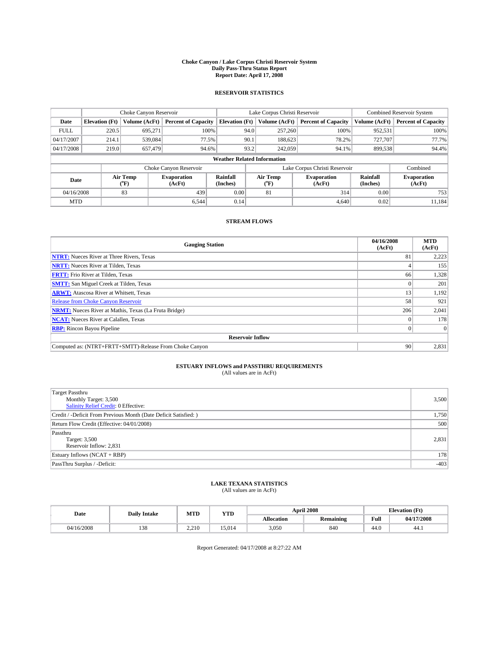### **Choke Canyon / Lake Corpus Christi Reservoir System Daily Pass-Thru Status Report Report Date: April 17, 2008**

### **RESERVOIR STATISTICS**

|             | Choke Canyon Reservoir             |                  |                              |                       | Lake Corpus Christi Reservoir |                  |                               |                      | <b>Combined Reservoir System</b> |  |
|-------------|------------------------------------|------------------|------------------------------|-----------------------|-------------------------------|------------------|-------------------------------|----------------------|----------------------------------|--|
| Date        | <b>Elevation</b> (Ft)              | Volume (AcFt)    | <b>Percent of Capacity</b>   | <b>Elevation (Ft)</b> |                               | Volume (AcFt)    | <b>Percent of Capacity</b>    | Volume (AcFt)        | <b>Percent of Capacity</b>       |  |
| <b>FULL</b> | 220.5                              | 695,271          | 100%                         |                       | 94.0                          | 257,260          | 100%                          | 952,531              | 100%                             |  |
| 04/17/2007  | 214.1                              | 539,084          | 77.5%                        |                       | 90.1                          | 188,623          | 78.2%                         | 727,707              | 77.7%                            |  |
| 04/17/2008  | 219.0                              | 657,479          | 94.6%                        |                       | 93.2                          | 242,059          | 94.1%                         | 899.538              | 94.4%                            |  |
|             | <b>Weather Related Information</b> |                  |                              |                       |                               |                  |                               |                      |                                  |  |
|             |                                    |                  | Choke Canyon Reservoir       |                       |                               |                  | Lake Corpus Christi Reservoir |                      | Combined                         |  |
| Date        |                                    | Air Temp<br>(°F) | <b>Evaporation</b><br>(AcFt) | Rainfall<br>(Inches)  |                               | Air Temp<br>("F) | <b>Evaporation</b><br>(AcFt)  | Rainfall<br>(Inches) | <b>Evaporation</b><br>(AcFt)     |  |
| 04/16/2008  |                                    | 83               | 439                          | 0.00                  |                               | 81               | 314                           | 0.00                 | 753                              |  |
| <b>MTD</b>  |                                    |                  | 6.544                        | 0.14                  |                               |                  | 4,640                         | 0.02                 | 11.184                           |  |

## **STREAM FLOWS**

| <b>Gauging Station</b>                                       | 04/16/2008<br>(AcFt) | <b>MTD</b><br>(AcFt) |
|--------------------------------------------------------------|----------------------|----------------------|
| <b>NTRT:</b> Nueces River at Three Rivers, Texas             | 81                   | 2,223                |
| <b>NRTT:</b> Nueces River at Tilden, Texas                   |                      | 155                  |
| <b>FRTT:</b> Frio River at Tilden, Texas                     | 66                   | 1,328                |
| <b>SMTT:</b> San Miguel Creek at Tilden, Texas               |                      | 201                  |
| <b>ARWT:</b> Atascosa River at Whitsett, Texas               | 13                   | 1,192                |
| <b>Release from Choke Canyon Reservoir</b>                   | 58                   | 921                  |
| <b>NRMT:</b> Nueces River at Mathis, Texas (La Fruta Bridge) | 206                  | 2,041                |
| <b>NCAT:</b> Nueces River at Calallen, Texas                 | $\Omega$             | 178                  |
| <b>RBP:</b> Rincon Bayou Pipeline                            | $\overline{0}$       |                      |
| <b>Reservoir Inflow</b>                                      |                      |                      |
| Computed as: (NTRT+FRTT+SMTT)-Release From Choke Canyon      | 90                   | 2,831                |

# **ESTUARY INFLOWS and PASSTHRU REQUIREMENTS**<br>(All values are in AcFt)

| <b>Target Passthru</b><br>Monthly Target: 3,500<br><b>Salinity Relief Credit: 0 Effective:</b> | 3,500  |
|------------------------------------------------------------------------------------------------|--------|
| Credit / -Deficit From Previous Month (Date Deficit Satisfied: )                               | 1,750  |
| Return Flow Credit (Effective: 04/01/2008)                                                     | 500    |
| Passthru<br>Target: 3,500<br>Reservoir Inflow: 2,831                                           | 2,831  |
| Estuary Inflows (NCAT + RBP)                                                                   | 178    |
| PassThru Surplus / -Deficit:                                                                   | $-403$ |

## **LAKE TEXANA STATISTICS** (All values are in AcFt)

| Date       | <b>Daily Intake</b> | MTD   | <b>YTD</b> |            | <b>April 2008</b> | <b>Elevation</b> (Ft)                       |            |
|------------|---------------------|-------|------------|------------|-------------------|---------------------------------------------|------------|
|            |                     |       |            | Allocation | <b>Remaining</b>  | Full<br>the contract of the contract of the | 04/17/2008 |
| 04/16/2008 | 138                 | 2.210 | 15.014     | 3,050      | 840               | 44.0                                        | 44.1       |

Report Generated: 04/17/2008 at 8:27:22 AM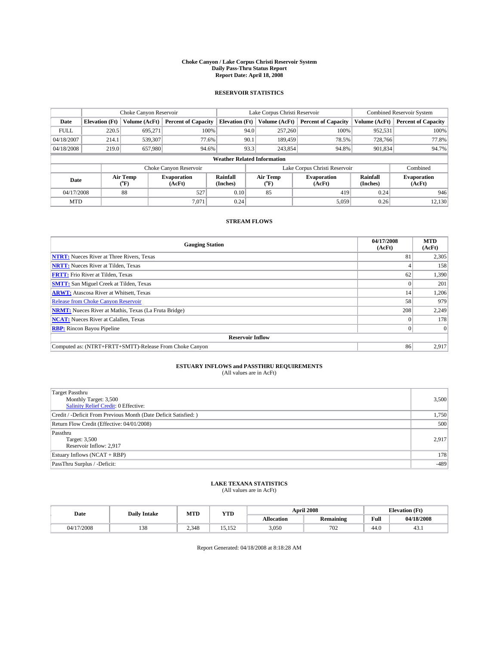### **Choke Canyon / Lake Corpus Christi Reservoir System Daily Pass-Thru Status Report Report Date: April 18, 2008**

### **RESERVOIR STATISTICS**

|                                    | Choke Canyon Reservoir |                  |                              |                       | Lake Corpus Christi Reservoir |  |                               |                      | <b>Combined Reservoir System</b> |  |
|------------------------------------|------------------------|------------------|------------------------------|-----------------------|-------------------------------|--|-------------------------------|----------------------|----------------------------------|--|
| Date                               | <b>Elevation</b> (Ft)  | Volume (AcFt)    | <b>Percent of Capacity</b>   | <b>Elevation (Ft)</b> | Volume (AcFt)                 |  | <b>Percent of Capacity</b>    | Volume (AcFt)        | <b>Percent of Capacity</b>       |  |
| <b>FULL</b>                        | 220.5                  | 695,271          | 100%                         |                       | 257,260<br>94.0               |  | 100%                          | 952,531              | 100%                             |  |
| 04/18/2007                         | 214.1                  | 539,307          | 77.6%                        |                       | 90.1<br>189,459               |  | 78.5%                         | 728,766              | 77.8%                            |  |
| 04/18/2008                         | 219.0                  | 657,980          | 94.6%                        |                       | 93.3<br>243,854               |  | 94.8%                         | 901,834              | 94.7%                            |  |
| <b>Weather Related Information</b> |                        |                  |                              |                       |                               |  |                               |                      |                                  |  |
|                                    |                        |                  | Choke Canyon Reservoir       |                       |                               |  | Lake Corpus Christi Reservoir |                      | Combined                         |  |
| Date                               |                        | Air Temp<br>(°F) | <b>Evaporation</b><br>(AcFt) | Rainfall<br>(Inches)  | Air Temp<br>("F)              |  | <b>Evaporation</b><br>(AcFt)  | Rainfall<br>(Inches) | <b>Evaporation</b><br>(AcFt)     |  |
| 04/17/2008                         |                        | 88               | 527                          | 0.10                  | 85                            |  | 419                           | 0.24                 | 946                              |  |
| <b>MTD</b>                         |                        |                  | 7.071                        | 0.24                  |                               |  | 5,059                         | 0.26                 | 12,130                           |  |

### **STREAM FLOWS**

| <b>Gauging Station</b>                                       | 04/17/2008<br>(AcFt) | <b>MTD</b><br>(AcFt) |
|--------------------------------------------------------------|----------------------|----------------------|
| <b>NTRT:</b> Nueces River at Three Rivers, Texas             | 81                   | 2,305                |
| <b>NRTT:</b> Nueces River at Tilden, Texas                   |                      | 158                  |
| <b>FRTT:</b> Frio River at Tilden, Texas                     | 62                   | 1,390                |
| <b>SMTT:</b> San Miguel Creek at Tilden, Texas               |                      | 201                  |
| <b>ARWT:</b> Atascosa River at Whitsett, Texas               | 14                   | 1,206                |
| <b>Release from Choke Canyon Reservoir</b>                   | 58                   | 979                  |
| <b>NRMT:</b> Nueces River at Mathis, Texas (La Fruta Bridge) | 208                  | 2,249                |
| <b>NCAT:</b> Nueces River at Calallen, Texas                 | $\Omega$             | 178                  |
| <b>RBP:</b> Rincon Bayou Pipeline                            | $\overline{0}$       |                      |
| <b>Reservoir Inflow</b>                                      |                      |                      |
| Computed as: (NTRT+FRTT+SMTT)-Release From Choke Canyon      | 86                   | 2,917                |

# **ESTUARY INFLOWS and PASSTHRU REQUIREMENTS**<br>(All values are in AcFt)

| <b>Target Passthru</b><br>Monthly Target: 3,500<br><b>Salinity Relief Credit: 0 Effective:</b> | 3,500  |
|------------------------------------------------------------------------------------------------|--------|
| Credit / -Deficit From Previous Month (Date Deficit Satisfied: )                               | 1,750  |
| Return Flow Credit (Effective: 04/01/2008)                                                     | 500    |
| Passthru<br>Target: 3,500<br>Reservoir Inflow: 2,917                                           | 2,917  |
| Estuary Inflows (NCAT + RBP)                                                                   | 178    |
| PassThru Surplus / -Deficit:                                                                   | $-489$ |

## **LAKE TEXANA STATISTICS** (All values are in AcFt)

| Date       | <b>Daily Intake</b> | MTD   | <b>YTD</b>      |            | <b>April 2008</b> |                                             | <b>Elevation</b> (Ft) |
|------------|---------------------|-------|-----------------|------------|-------------------|---------------------------------------------|-----------------------|
|            |                     |       |                 | Allocation | <b>Remaining</b>  | Full<br>the contract of the contract of the | 04/18/2008            |
| 04/17/2008 | 138                 | 2.348 | 5.152<br>19.192 | 3,050      | 702               | 44.0                                        | 45.1                  |

Report Generated: 04/18/2008 at 8:18:28 AM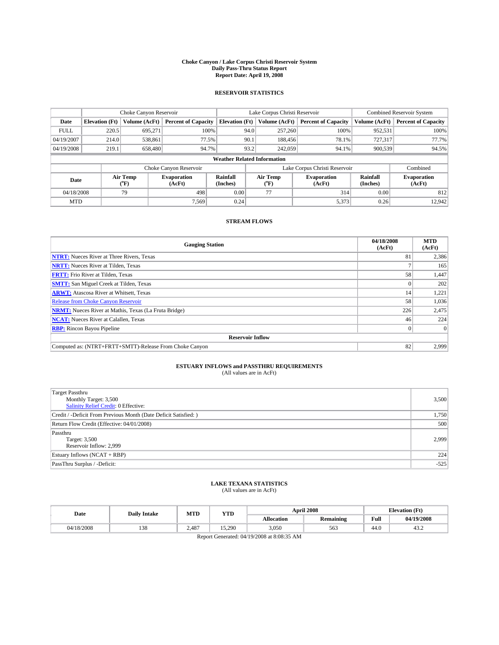### **Choke Canyon / Lake Corpus Christi Reservoir System Daily Pass-Thru Status Report Report Date: April 19, 2008**

### **RESERVOIR STATISTICS**

|                                    | Choke Canyon Reservoir |                  |                              |                       | Lake Corpus Christi Reservoir |                  |                               |                      | <b>Combined Reservoir System</b> |  |
|------------------------------------|------------------------|------------------|------------------------------|-----------------------|-------------------------------|------------------|-------------------------------|----------------------|----------------------------------|--|
| Date                               | <b>Elevation</b> (Ft)  | Volume (AcFt)    | <b>Percent of Capacity</b>   | <b>Elevation</b> (Ft) |                               | Volume (AcFt)    | <b>Percent of Capacity</b>    | Volume (AcFt)        | <b>Percent of Capacity</b>       |  |
| <b>FULL</b>                        | 220.5                  | 695.271          |                              | 100%                  | 94.0                          | 257,260          | 100%                          | 952,531              | 100%                             |  |
| 04/19/2007                         | 214.0                  | 538,861          | 77.5%                        |                       | 90.1                          | 188,456          | 78.1%                         | 727,317              | 77.7%                            |  |
| 04/19/2008                         | 219.1                  | 658,480          | 94.7%                        |                       | 93.2                          | 242,059          | 94.1%                         | 900.539              | 94.5%                            |  |
| <b>Weather Related Information</b> |                        |                  |                              |                       |                               |                  |                               |                      |                                  |  |
|                                    |                        |                  | Choke Canyon Reservoir       |                       |                               |                  | Lake Corpus Christi Reservoir |                      | Combined                         |  |
| Date                               |                        | Air Temp<br>(°F) | <b>Evaporation</b><br>(AcFt) | Rainfall<br>(Inches)  |                               | Air Temp<br>("F) | <b>Evaporation</b><br>(AcFt)  | Rainfall<br>(Inches) | <b>Evaporation</b><br>(AcFt)     |  |
| 04/18/2008                         |                        | 79               | 498                          | 0.00                  |                               | 77               | 314                           | 0.00                 | 812                              |  |
| <b>MTD</b>                         |                        |                  | 7.569                        | 0.24                  |                               |                  | 5,373                         | 0.26                 | 12.942                           |  |

### **STREAM FLOWS**

| <b>Gauging Station</b>                                       | 04/18/2008<br>(AcFt) | <b>MTD</b><br>(AcFt) |
|--------------------------------------------------------------|----------------------|----------------------|
| <b>NTRT:</b> Nueces River at Three Rivers, Texas             | 81                   | 2,386                |
| <b>NRTT:</b> Nueces River at Tilden, Texas                   |                      | 165                  |
| <b>FRTT:</b> Frio River at Tilden, Texas                     | 58                   | 1,447                |
| <b>SMTT:</b> San Miguel Creek at Tilden, Texas               |                      | 202                  |
| <b>ARWT:</b> Atascosa River at Whitsett, Texas               | 14                   | 1,221                |
| <b>Release from Choke Canyon Reservoir</b>                   | 58                   | 1,036                |
| <b>NRMT:</b> Nueces River at Mathis, Texas (La Fruta Bridge) | 226                  | 2,475                |
| <b>NCAT:</b> Nueces River at Calallen, Texas                 | 46                   | 224                  |
| <b>RBP:</b> Rincon Bayou Pipeline                            | $\vert 0 \vert$      |                      |
| <b>Reservoir Inflow</b>                                      |                      |                      |
| Computed as: (NTRT+FRTT+SMTT)-Release From Choke Canyon      | 82                   | 2,999                |

# **ESTUARY INFLOWS and PASSTHRU REQUIREMENTS**<br>(All values are in AcFt)

| <b>Target Passthru</b><br>Monthly Target: 3,500<br>Salinity Relief Credit: 0 Effective: | 3,500  |
|-----------------------------------------------------------------------------------------|--------|
| Credit / -Deficit From Previous Month (Date Deficit Satisfied: )                        | 1,750  |
| Return Flow Credit (Effective: 04/01/2008)                                              | 500    |
| Passthru<br>Target: 3,500<br>Reservoir Inflow: 2,999                                    | 2.999  |
| Estuary Inflows $(NCAT + RBP)$                                                          | 224    |
| PassThru Surplus / -Deficit:                                                            | $-525$ |

## **LAKE TEXANA STATISTICS** (All values are in AcFt)

| Date                                                               | <b>Daily Intake</b> | MTD   | YTD    |            | <b>April 2008</b> |      | <b>Elevation</b> (Ft) |  |
|--------------------------------------------------------------------|---------------------|-------|--------|------------|-------------------|------|-----------------------|--|
|                                                                    |                     |       |        | Allocation | <b>Remaining</b>  | Full | 04/19/2008            |  |
| 04/18/2008                                                         | 138                 | 2.487 | 15.290 | 3.050      | 563               | 44.0 | 43.Z                  |  |
| $D_{\text{cmax}}$ $C_{\text{cmaxated}}$ , 04/10/2009 at 9,09.25 AM |                     |       |        |            |                   |      |                       |  |

Report Generated: 04/19/2008 at 8:08:35 AM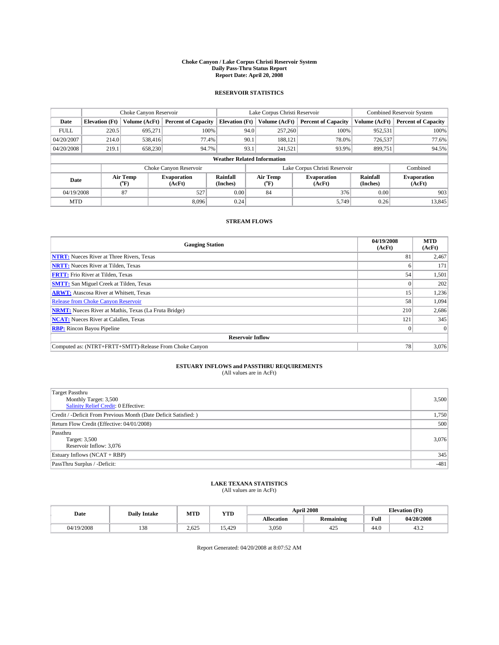### **Choke Canyon / Lake Corpus Christi Reservoir System Daily Pass-Thru Status Report Report Date: April 20, 2008**

### **RESERVOIR STATISTICS**

|             | Choke Canyon Reservoir             |                  |                              |                       | Lake Corpus Christi Reservoir |                  |                               |                      | <b>Combined Reservoir System</b> |  |  |
|-------------|------------------------------------|------------------|------------------------------|-----------------------|-------------------------------|------------------|-------------------------------|----------------------|----------------------------------|--|--|
| Date        | <b>Elevation</b> (Ft)              | Volume (AcFt)    | <b>Percent of Capacity</b>   | <b>Elevation (Ft)</b> |                               | Volume (AcFt)    | <b>Percent of Capacity</b>    | Volume (AcFt)        | <b>Percent of Capacity</b>       |  |  |
| <b>FULL</b> | 220.5                              | 695,271          | 100%                         |                       | 94.0                          | 257,260          | 100%                          | 952,531              | 100%                             |  |  |
| 04/20/2007  | 214.0                              | 538,416          | 77.4%                        |                       | 90.1                          | 188,121          | 78.0%                         | 726,537              | 77.6%                            |  |  |
| 04/20/2008  | 219.1                              | 658,230          | 94.7%                        |                       | 93.1                          | 241.521          | 93.9%                         | 899.751              | 94.5%                            |  |  |
|             | <b>Weather Related Information</b> |                  |                              |                       |                               |                  |                               |                      |                                  |  |  |
|             |                                    |                  | Choke Canyon Reservoir       |                       |                               |                  | Lake Corpus Christi Reservoir |                      | Combined                         |  |  |
| Date        |                                    | Air Temp<br>(°F) | <b>Evaporation</b><br>(AcFt) | Rainfall<br>(Inches)  |                               | Air Temp<br>("F) | <b>Evaporation</b><br>(AcFt)  | Rainfall<br>(Inches) | <b>Evaporation</b><br>(AcFt)     |  |  |
| 04/19/2008  |                                    | 87               | 527                          | 0.00                  |                               | 84               | 376                           | 0.00                 | 903                              |  |  |
| <b>MTD</b>  |                                    |                  | 8.096                        | 0.24                  |                               |                  | 5,749                         | 0.26                 | 13,845                           |  |  |

### **STREAM FLOWS**

| <b>Gauging Station</b>                                       | 04/19/2008<br>(AcFt) | <b>MTD</b><br>(AcFt) |
|--------------------------------------------------------------|----------------------|----------------------|
| <b>NTRT:</b> Nueces River at Three Rivers, Texas             | 81                   | 2,467                |
| <b>NRTT:</b> Nueces River at Tilden, Texas                   | n.                   | 171                  |
| <b>FRTT:</b> Frio River at Tilden, Texas                     | 54                   | 1,501                |
| <b>SMTT:</b> San Miguel Creek at Tilden, Texas               |                      | 202                  |
| <b>ARWT:</b> Atascosa River at Whitsett, Texas               | 15                   | 1,236                |
| <b>Release from Choke Canyon Reservoir</b>                   | 58                   | 1,094                |
| <b>NRMT:</b> Nueces River at Mathis, Texas (La Fruta Bridge) | 210                  | 2,686                |
| <b>NCAT:</b> Nueces River at Calallen, Texas                 | 121                  | 345                  |
| <b>RBP:</b> Rincon Bayou Pipeline                            | $\overline{0}$       |                      |
| <b>Reservoir Inflow</b>                                      |                      |                      |
| Computed as: (NTRT+FRTT+SMTT)-Release From Choke Canyon      | 78 <sub>1</sub>      | 3,076                |

# **ESTUARY INFLOWS and PASSTHRU REQUIREMENTS**<br>(All values are in AcFt)

| <b>Target Passthru</b><br>Monthly Target: 3,500<br><b>Salinity Relief Credit: 0 Effective:</b> | 3,500  |
|------------------------------------------------------------------------------------------------|--------|
| Credit / -Deficit From Previous Month (Date Deficit Satisfied: )                               | 1,750  |
| Return Flow Credit (Effective: 04/01/2008)                                                     | 500    |
| Passthru<br>Target: 3,500<br>Reservoir Inflow: 3,076                                           | 3,076  |
| Estuary Inflows (NCAT + RBP)                                                                   | 345    |
| PassThru Surplus / -Deficit:                                                                   | $-481$ |

## **LAKE TEXANA STATISTICS** (All values are in AcFt)

| Date       | <b>Daily Intake</b> | MTD   | YTD    |                   | <b>April 2008</b> | <b>Elevation</b> (Ft) |            |
|------------|---------------------|-------|--------|-------------------|-------------------|-----------------------|------------|
|            |                     |       |        | <b>Allocation</b> | <b>Remaining</b>  | Full                  | 04/20/2008 |
| 04/19/2008 | $\sim$<br>128       | 2.625 | 15.429 | 3,050             | ، ۱<br>445        | 44.0                  | 43.Z       |

Report Generated: 04/20/2008 at 8:07:52 AM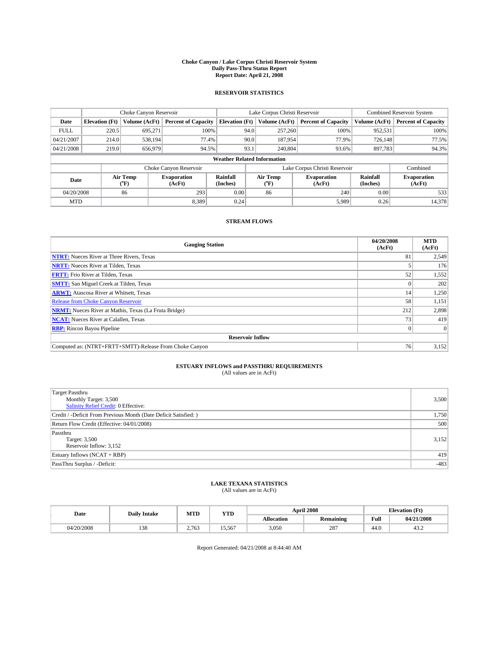### **Choke Canyon / Lake Corpus Christi Reservoir System Daily Pass-Thru Status Report Report Date: April 21, 2008**

### **RESERVOIR STATISTICS**

|                                    | Choke Canyon Reservoir |                  |                              |                       | Lake Corpus Christi Reservoir |                  |                               |                      | <b>Combined Reservoir System</b> |  |  |
|------------------------------------|------------------------|------------------|------------------------------|-----------------------|-------------------------------|------------------|-------------------------------|----------------------|----------------------------------|--|--|
| Date                               | <b>Elevation</b> (Ft)  | Volume (AcFt)    | <b>Percent of Capacity</b>   | <b>Elevation</b> (Ft) |                               | Volume (AcFt)    | <b>Percent of Capacity</b>    | Volume (AcFt)        | <b>Percent of Capacity</b>       |  |  |
| <b>FULL</b>                        | 220.5                  | 695,271          | 100%                         |                       | 94.0                          | 257,260          | 100%                          | 952,531              | 100%                             |  |  |
| 04/21/2007                         | 214.0                  | 538.194          | 77.4%                        |                       | 90.0                          | 187,954          | 77.9%                         | 726.148              | 77.5%                            |  |  |
| 04/21/2008                         | 219.0                  | 656,979          | 94.5%                        |                       | 93.1                          | 240,804          | 93.6%                         | 897,783              | 94.3%                            |  |  |
| <b>Weather Related Information</b> |                        |                  |                              |                       |                               |                  |                               |                      |                                  |  |  |
|                                    |                        |                  | Choke Canyon Reservoir       |                       |                               |                  | Lake Corpus Christi Reservoir |                      | Combined                         |  |  |
| Date                               |                        | Air Temp<br>(°F) | <b>Evaporation</b><br>(AcFt) | Rainfall<br>(Inches)  |                               | Air Temp<br>("F) | <b>Evaporation</b><br>(AcFt)  | Rainfall<br>(Inches) | <b>Evaporation</b><br>(AcFt)     |  |  |
| 04/20/2008                         |                        | 86               | 293                          | 0.00                  |                               | 86               | 240                           | 0.00                 | 533                              |  |  |
| <b>MTD</b>                         |                        |                  | 8.389                        | 0.24                  |                               |                  | 5,989                         | 0.26                 | 14,378                           |  |  |

### **STREAM FLOWS**

| <b>Gauging Station</b>                                       | 04/20/2008<br>(AcFt) | <b>MTD</b><br>(AcFt) |  |  |  |  |  |
|--------------------------------------------------------------|----------------------|----------------------|--|--|--|--|--|
| <b>NTRT:</b> Nueces River at Three Rivers, Texas             | 81                   | 2,549                |  |  |  |  |  |
| <b>NRTT:</b> Nueces River at Tilden, Texas                   |                      | 176                  |  |  |  |  |  |
| <b>FRTT:</b> Frio River at Tilden, Texas                     | 52                   | 1,552                |  |  |  |  |  |
| <b>SMTT:</b> San Miguel Creek at Tilden, Texas               |                      | 202                  |  |  |  |  |  |
| <b>ARWT:</b> Atascosa River at Whitsett, Texas               | 14                   | 1,250                |  |  |  |  |  |
| <b>Release from Choke Canyon Reservoir</b>                   | 58                   | 1,151                |  |  |  |  |  |
| <b>NRMT:</b> Nueces River at Mathis, Texas (La Fruta Bridge) | 212                  | 2,898                |  |  |  |  |  |
| <b>NCAT:</b> Nueces River at Calallen, Texas                 | 73 <sub>1</sub>      | 419                  |  |  |  |  |  |
| <b>RBP:</b> Rincon Bayou Pipeline                            | $\vert 0 \vert$      |                      |  |  |  |  |  |
| <b>Reservoir Inflow</b>                                      |                      |                      |  |  |  |  |  |
| Computed as: (NTRT+FRTT+SMTT)-Release From Choke Canyon      | 76                   | 3,152                |  |  |  |  |  |

# **ESTUARY INFLOWS and PASSTHRU REQUIREMENTS**<br>(All values are in AcFt)

| <b>Target Passthru</b><br>Monthly Target: 3,500<br><b>Salinity Relief Credit: 0 Effective:</b> | 3,500  |
|------------------------------------------------------------------------------------------------|--------|
| Credit / -Deficit From Previous Month (Date Deficit Satisfied: )                               | 1,750  |
| Return Flow Credit (Effective: 04/01/2008)                                                     | 500    |
| Passthru<br>Target: 3,500<br>Reservoir Inflow: 3,152                                           | 3,152  |
| Estuary Inflows (NCAT + RBP)                                                                   | 419    |
| PassThru Surplus / -Deficit:                                                                   | $-483$ |

## **LAKE TEXANA STATISTICS** (All values are in AcFt)

| Date       | <b>Daily Intake</b> | MTD   | YTD    |                   | <b>April 2008</b> | <b>Elevation</b> (Ft) |            |
|------------|---------------------|-------|--------|-------------------|-------------------|-----------------------|------------|
|            |                     |       |        | <b>Allocation</b> | <b>Remaining</b>  | Full                  | 04/21/2008 |
| 04/20/2008 | $\sim$<br>128       | 2.763 | 15.567 | 3,050             | 287               | 44.0                  | 43.Z       |

Report Generated: 04/21/2008 at 8:44:40 AM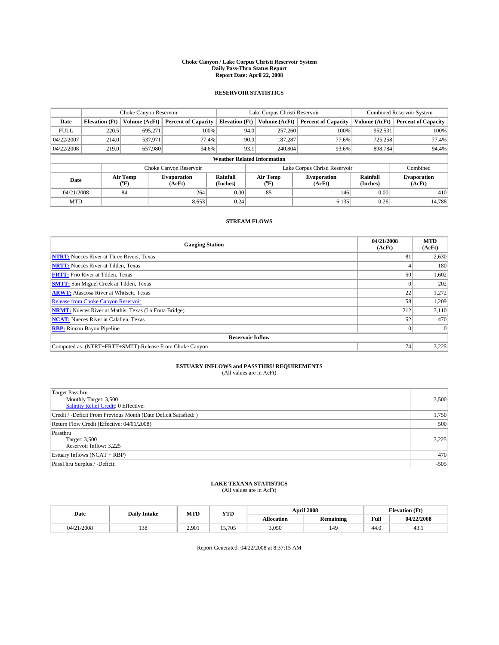### **Choke Canyon / Lake Corpus Christi Reservoir System Daily Pass-Thru Status Report Report Date: April 22, 2008**

### **RESERVOIR STATISTICS**

|                                    | Choke Canyon Reservoir |                  |                              |                       | Lake Corpus Christi Reservoir |                  |                               |                      | <b>Combined Reservoir System</b> |  |  |
|------------------------------------|------------------------|------------------|------------------------------|-----------------------|-------------------------------|------------------|-------------------------------|----------------------|----------------------------------|--|--|
| Date                               | <b>Elevation</b> (Ft)  | Volume (AcFt)    | <b>Percent of Capacity</b>   | <b>Elevation (Ft)</b> |                               | Volume (AcFt)    | <b>Percent of Capacity</b>    | Volume (AcFt)        | <b>Percent of Capacity</b>       |  |  |
| <b>FULL</b>                        | 220.5                  | 695,271          | 100%                         |                       | 94.0                          | 257,260          | 100%                          | 952,531              | 100%                             |  |  |
| 04/22/2007                         | 214.0                  | 537,971          | 77.4%                        |                       | 90.0                          | 187,287          | 77.6%                         | 725.258              | 77.4%                            |  |  |
| 04/22/2008                         | 219.0                  | 657,980          | 94.6%                        |                       | 93.1                          | 240,804          | 93.6%                         | 898.784              | 94.4%                            |  |  |
| <b>Weather Related Information</b> |                        |                  |                              |                       |                               |                  |                               |                      |                                  |  |  |
|                                    |                        |                  | Choke Canyon Reservoir       |                       |                               |                  | Lake Corpus Christi Reservoir |                      | Combined                         |  |  |
| Date                               |                        | Air Temp<br>(°F) | <b>Evaporation</b><br>(AcFt) | Rainfall<br>(Inches)  |                               | Air Temp<br>("F) | <b>Evaporation</b><br>(AcFt)  | Rainfall<br>(Inches) | <b>Evaporation</b><br>(AcFt)     |  |  |
| 04/21/2008                         |                        | 84               | 264                          | 0.00                  |                               | 85               | 146                           | 0.00                 | 410                              |  |  |
| <b>MTD</b>                         |                        |                  | 8,653                        | 0.24                  |                               |                  | 6,135                         | 0.26                 | 14,788                           |  |  |

### **STREAM FLOWS**

| <b>Gauging Station</b>                                       | 04/21/2008<br>(AcFt) | <b>MTD</b><br>(AcFt) |
|--------------------------------------------------------------|----------------------|----------------------|
| <b>NTRT:</b> Nueces River at Three Rivers, Texas             | 81                   | 2,630                |
| <b>NRTT:</b> Nueces River at Tilden, Texas                   |                      | 180                  |
| <b>FRTT:</b> Frio River at Tilden, Texas                     | 50 <sup>1</sup>      | 1,602                |
| <b>SMTT:</b> San Miguel Creek at Tilden, Texas               |                      | 202                  |
| <b>ARWT:</b> Atascosa River at Whitsett, Texas               | 22                   | 1,272                |
| <b>Release from Choke Canyon Reservoir</b>                   | 58                   | 1,209                |
| <b>NRMT:</b> Nueces River at Mathis, Texas (La Fruta Bridge) | 212                  | 3,110                |
| <b>NCAT:</b> Nueces River at Calallen, Texas                 | 52                   | 470                  |
| <b>RBP:</b> Rincon Bayou Pipeline                            | $\vert 0 \vert$      |                      |
| <b>Reservoir Inflow</b>                                      |                      |                      |
| Computed as: (NTRT+FRTT+SMTT)-Release From Choke Canyon      | 74 <sub>1</sub>      | 3,225                |

# **ESTUARY INFLOWS and PASSTHRU REQUIREMENTS**<br>(All values are in AcFt)

| <b>Target Passthru</b><br>Monthly Target: 3,500<br><b>Salinity Relief Credit: 0 Effective:</b> | 3,500  |
|------------------------------------------------------------------------------------------------|--------|
| Credit / -Deficit From Previous Month (Date Deficit Satisfied: )                               | 1,750  |
| Return Flow Credit (Effective: 04/01/2008)                                                     | 500    |
| Passthru<br>Target: 3,500<br>Reservoir Inflow: 3,225                                           | 3,225  |
| Estuary Inflows (NCAT + RBP)                                                                   | 470    |
| PassThru Surplus / -Deficit:                                                                   | $-505$ |

## **LAKE TEXANA STATISTICS** (All values are in AcFt)

| Date       | <b>Daily Intake</b> | MTD   | YTD    |            | <b>April 2008</b> | <b>Elevation</b> (Ft) |            |
|------------|---------------------|-------|--------|------------|-------------------|-----------------------|------------|
|            |                     |       |        | Allocation | <b>Remaining</b>  | Full                  | 04/22/2008 |
| 04/21/2008 | 138                 | 2.901 | 15.705 | 3,050      | 149               | 44.0                  | 45.1       |

Report Generated: 04/22/2008 at 8:37:15 AM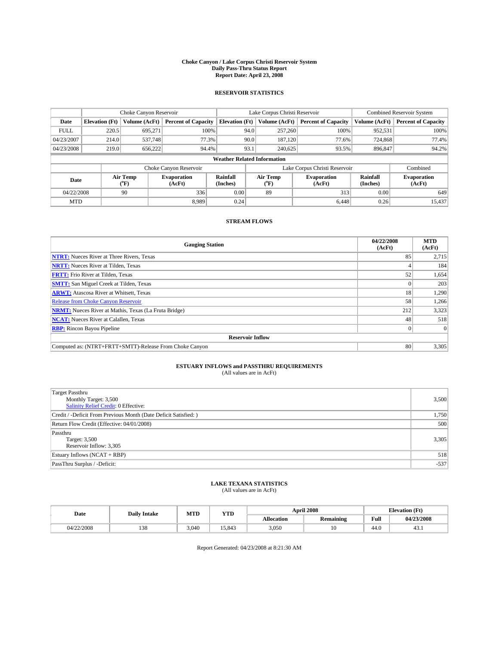### **Choke Canyon / Lake Corpus Christi Reservoir System Daily Pass-Thru Status Report Report Date: April 23, 2008**

### **RESERVOIR STATISTICS**

|             | Choke Canyon Reservoir             |                  |                              |                       | Lake Corpus Christi Reservoir |                  |                               |                      | <b>Combined Reservoir System</b> |  |  |
|-------------|------------------------------------|------------------|------------------------------|-----------------------|-------------------------------|------------------|-------------------------------|----------------------|----------------------------------|--|--|
| Date        | <b>Elevation</b> (Ft)              | Volume (AcFt)    | <b>Percent of Capacity</b>   | <b>Elevation</b> (Ft) |                               | Volume (AcFt)    | <b>Percent of Capacity</b>    | Volume (AcFt)        | <b>Percent of Capacity</b>       |  |  |
| <b>FULL</b> | 220.5                              | 695,271          | 100%                         |                       | 94.0                          | 257,260          | 100%                          | 952,531              | 100%                             |  |  |
| 04/23/2007  | 214.0                              | 537,748          | 77.3%                        |                       | 90.0                          | 187,120          | 77.6%                         | 724,868              | 77.4%                            |  |  |
| 04/23/2008  | 219.0                              | 656.222          | 94.4%                        |                       | 93.1                          | 240,625          | 93.5%                         | 896,847              | 94.2%                            |  |  |
|             | <b>Weather Related Information</b> |                  |                              |                       |                               |                  |                               |                      |                                  |  |  |
|             |                                    |                  | Choke Canyon Reservoir       |                       |                               |                  | Lake Corpus Christi Reservoir |                      | Combined                         |  |  |
| Date        |                                    | Air Temp<br>(°F) | <b>Evaporation</b><br>(AcFt) | Rainfall<br>(Inches)  |                               | Air Temp<br>("F) | <b>Evaporation</b><br>(AcFt)  | Rainfall<br>(Inches) | <b>Evaporation</b><br>(AcFt)     |  |  |
| 04/22/2008  |                                    | 90               | 336                          | 0.00                  |                               | 89               | 313                           | 0.00                 | 649                              |  |  |
| <b>MTD</b>  |                                    |                  | 8.989                        | 0.24                  |                               |                  | 6,448                         | 0.26                 | 15,437                           |  |  |

### **STREAM FLOWS**

| <b>Gauging Station</b>                                       | 04/22/2008<br>(AcFt) | <b>MTD</b><br>(AcFt) |
|--------------------------------------------------------------|----------------------|----------------------|
| <b>NTRT:</b> Nueces River at Three Rivers, Texas             | 85                   | 2,715                |
| <b>NRTT:</b> Nueces River at Tilden, Texas                   |                      | 184                  |
| <b>FRTT:</b> Frio River at Tilden, Texas                     | 52                   | 1,654                |
| <b>SMTT:</b> San Miguel Creek at Tilden, Texas               |                      | 203                  |
| <b>ARWT:</b> Atascosa River at Whitsett, Texas               | 18                   | 1,290                |
| <b>Release from Choke Canyon Reservoir</b>                   | 58                   | 1,266                |
| <b>NRMT:</b> Nueces River at Mathis, Texas (La Fruta Bridge) | 212                  | 3,323                |
| <b>NCAT:</b> Nueces River at Calallen, Texas                 | 48                   | 518                  |
| <b>RBP:</b> Rincon Bayou Pipeline                            | $\vert 0 \vert$      |                      |
| <b>Reservoir Inflow</b>                                      |                      |                      |
| Computed as: (NTRT+FRTT+SMTT)-Release From Choke Canyon      | 80                   | 3,305                |

# **ESTUARY INFLOWS and PASSTHRU REQUIREMENTS**<br>(All values are in AcFt)

| <b>Target Passthru</b><br>Monthly Target: 3,500<br><b>Salinity Relief Credit: 0 Effective:</b> | 3,500  |
|------------------------------------------------------------------------------------------------|--------|
| Credit / -Deficit From Previous Month (Date Deficit Satisfied: )                               | 1,750  |
| Return Flow Credit (Effective: 04/01/2008)                                                     | 500    |
| Passthru<br>Target: 3,500<br>Reservoir Inflow: 3,305                                           | 3,305  |
| Estuary Inflows (NCAT + RBP)                                                                   | 518    |
| PassThru Surplus / -Deficit:                                                                   | $-537$ |

## **LAKE TEXANA STATISTICS** (All values are in AcFt)

| Date       | <b>Daily Intake</b> | MTD   | YTD    |            | <b>April 2008</b> |      | <b>Elevation</b> (Ft) |
|------------|---------------------|-------|--------|------------|-------------------|------|-----------------------|
|            |                     |       |        | Allocation | <b>Remaining</b>  | Full | 04/23/2008            |
| 04/22/2008 | 138                 | 3.040 | 15.843 | 3,050      |                   | 44.0 | 49.1                  |

Report Generated: 04/23/2008 at 8:21:30 AM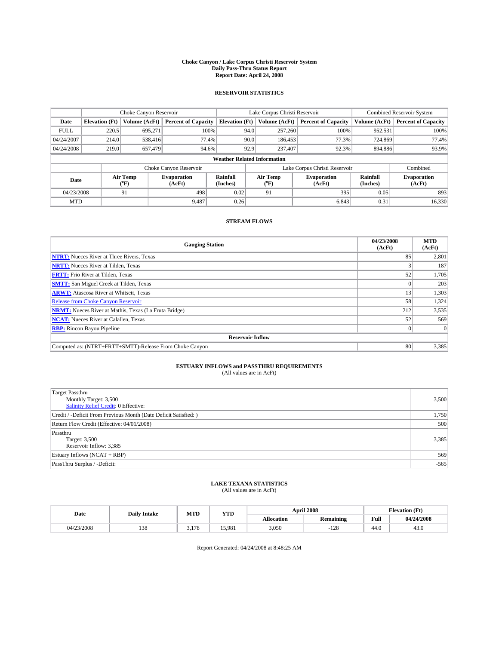### **Choke Canyon / Lake Corpus Christi Reservoir System Daily Pass-Thru Status Report Report Date: April 24, 2008**

### **RESERVOIR STATISTICS**

|                                    | Choke Canyon Reservoir |                  |                              |                       | Lake Corpus Christi Reservoir |                  |                               |                      | <b>Combined Reservoir System</b> |  |  |
|------------------------------------|------------------------|------------------|------------------------------|-----------------------|-------------------------------|------------------|-------------------------------|----------------------|----------------------------------|--|--|
| Date                               | <b>Elevation</b> (Ft)  | Volume (AcFt)    | <b>Percent of Capacity</b>   | <b>Elevation</b> (Ft) |                               | Volume (AcFt)    | <b>Percent of Capacity</b>    | Volume (AcFt)        | <b>Percent of Capacity</b>       |  |  |
| <b>FULL</b>                        | 220.5                  | 695,271          | 100%                         |                       | 94.0                          | 257,260          | 100%                          | 952,531              | 100%                             |  |  |
| 04/24/2007                         | 214.0                  | 538,416          | 77.4%                        |                       | 90.0                          | 186,453          | 77.3%                         | 724,869              | 77.4%                            |  |  |
| 04/24/2008                         | 219.0                  | 657,479          | 94.6%                        |                       | 92.9                          | 237,407          | 92.3%                         | 894,886              | 93.9%                            |  |  |
| <b>Weather Related Information</b> |                        |                  |                              |                       |                               |                  |                               |                      |                                  |  |  |
|                                    |                        |                  | Choke Canyon Reservoir       |                       |                               |                  | Lake Corpus Christi Reservoir |                      | Combined                         |  |  |
| Date                               |                        | Air Temp<br>(°F) | <b>Evaporation</b><br>(AcFt) | Rainfall<br>(Inches)  |                               | Air Temp<br>("F) | <b>Evaporation</b><br>(AcFt)  | Rainfall<br>(Inches) | <b>Evaporation</b><br>(AcFt)     |  |  |
| 04/23/2008                         |                        | 91               | 498                          | 0.02                  |                               | 91               | 395                           | 0.05                 | 893                              |  |  |
| <b>MTD</b>                         |                        |                  | 9.487                        | 0.26                  |                               |                  | 6,843                         | 0.31                 | 16,330                           |  |  |

### **STREAM FLOWS**

| <b>Gauging Station</b>                                       | 04/23/2008<br>(AcFt) | <b>MTD</b><br>(AcFt) |
|--------------------------------------------------------------|----------------------|----------------------|
| <b>NTRT:</b> Nueces River at Three Rivers, Texas             | 85                   | 2,801                |
| <b>NRTT:</b> Nueces River at Tilden, Texas                   |                      | 187                  |
| <b>FRTT:</b> Frio River at Tilden, Texas                     | 52                   | 1,705                |
| <b>SMTT:</b> San Miguel Creek at Tilden, Texas               |                      | 203                  |
| <b>ARWT:</b> Atascosa River at Whitsett, Texas               | 13                   | 1,303                |
| <b>Release from Choke Canyon Reservoir</b>                   | 58                   | 1,324                |
| <b>NRMT:</b> Nueces River at Mathis, Texas (La Fruta Bridge) | 212                  | 3,535                |
| <b>NCAT:</b> Nueces River at Calallen, Texas                 | 52                   | 569                  |
| <b>RBP:</b> Rincon Bayou Pipeline                            | $\overline{0}$       |                      |
| <b>Reservoir Inflow</b>                                      |                      |                      |
| Computed as: (NTRT+FRTT+SMTT)-Release From Choke Canyon      | 80                   | 3,385                |

# **ESTUARY INFLOWS and PASSTHRU REQUIREMENTS**<br>(All values are in AcFt)

| <b>Target Passthru</b><br>Monthly Target: 3,500<br><b>Salinity Relief Credit: 0 Effective:</b> | 3,500  |
|------------------------------------------------------------------------------------------------|--------|
| Credit / -Deficit From Previous Month (Date Deficit Satisfied: )                               | 1,750  |
| Return Flow Credit (Effective: 04/01/2008)                                                     | 500    |
| Passthru<br>Target: 3,500<br>Reservoir Inflow: 3,385                                           | 3,385  |
| Estuary Inflows (NCAT + RBP)                                                                   | 569    |
| PassThru Surplus / -Deficit:                                                                   | $-565$ |

## **LAKE TEXANA STATISTICS** (All values are in AcFt)

| Date       | <b>Daily Intake</b> | MTD           | YTD    |            | <b>April 2008</b> |      | <b>Elevation</b> (Ft) |
|------------|---------------------|---------------|--------|------------|-------------------|------|-----------------------|
|            |                     |               |        | Allocation | <b>Remaining</b>  | Full | 04/24/2008            |
| 04/23/2008 | 138                 | 170<br>2.II C | 15.981 | 3,050      | 128               | 44.0 | 43.0                  |

Report Generated: 04/24/2008 at 8:48:25 AM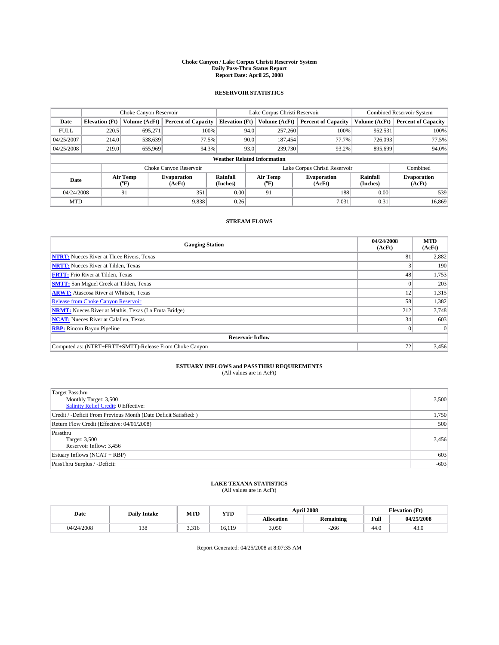### **Choke Canyon / Lake Corpus Christi Reservoir System Daily Pass-Thru Status Report Report Date: April 25, 2008**

### **RESERVOIR STATISTICS**

|             | Choke Canyon Reservoir             |                  |                              |                       | Lake Corpus Christi Reservoir |                  |                               |                      | <b>Combined Reservoir System</b> |  |  |
|-------------|------------------------------------|------------------|------------------------------|-----------------------|-------------------------------|------------------|-------------------------------|----------------------|----------------------------------|--|--|
| Date        | <b>Elevation</b> (Ft)              | Volume (AcFt)    | <b>Percent of Capacity</b>   | <b>Elevation</b> (Ft) |                               | Volume (AcFt)    | <b>Percent of Capacity</b>    | Volume (AcFt)        | <b>Percent of Capacity</b>       |  |  |
| <b>FULL</b> | 220.5                              | 695,271          | 100%                         |                       | 94.0                          | 257,260          | 100%                          | 952,531              | 100%                             |  |  |
| 04/25/2007  | 214.0                              | 538,639          | 77.5%                        |                       | 90.0                          | 187,454          | 77.7%                         | 726,093              | 77.5%                            |  |  |
| 04/25/2008  | 219.0                              | 655,969          | 94.3%                        |                       | 93.0                          | 239,730          | 93.2%                         | 895.699              | 94.0%                            |  |  |
|             | <b>Weather Related Information</b> |                  |                              |                       |                               |                  |                               |                      |                                  |  |  |
|             |                                    |                  | Choke Canyon Reservoir       |                       |                               |                  | Lake Corpus Christi Reservoir |                      | Combined                         |  |  |
| Date        |                                    | Air Temp<br>(°F) | <b>Evaporation</b><br>(AcFt) | Rainfall<br>(Inches)  |                               | Air Temp<br>("F) | <b>Evaporation</b><br>(AcFt)  | Rainfall<br>(Inches) | <b>Evaporation</b><br>(AcFt)     |  |  |
| 04/24/2008  |                                    | 91               | 351                          | 0.00                  |                               | 91               | 188                           | 0.00                 | 539                              |  |  |
| <b>MTD</b>  |                                    |                  | 9,838                        | 0.26                  |                               |                  | 7,031                         | 0.31                 | 16,869                           |  |  |

### **STREAM FLOWS**

| <b>Gauging Station</b>                                       | 04/24/2008<br>(AcFt) | <b>MTD</b><br>(AcFt) |
|--------------------------------------------------------------|----------------------|----------------------|
| <b>NTRT:</b> Nueces River at Three Rivers, Texas             | 81                   | 2,882                |
| <b>NRTT:</b> Nueces River at Tilden, Texas                   |                      | 190                  |
| <b>FRTT:</b> Frio River at Tilden, Texas                     | 48                   | 1,753                |
| <b>SMTT:</b> San Miguel Creek at Tilden, Texas               |                      | 203                  |
| <b>ARWT:</b> Atascosa River at Whitsett, Texas               | 12                   | 1,315                |
| <b>Release from Choke Canyon Reservoir</b>                   | 58                   | 1,382                |
| <b>NRMT:</b> Nueces River at Mathis, Texas (La Fruta Bridge) | 212                  | 3,748                |
| <b>NCAT:</b> Nueces River at Calallen, Texas                 | 34                   | 603                  |
| <b>RBP:</b> Rincon Bayou Pipeline                            | $\overline{0}$       |                      |
| <b>Reservoir Inflow</b>                                      |                      |                      |
| Computed as: (NTRT+FRTT+SMTT)-Release From Choke Canyon      | 72                   | 3,456                |

# **ESTUARY INFLOWS and PASSTHRU REQUIREMENTS**<br>(All values are in AcFt)

| <b>Target Passthru</b><br>Monthly Target: 3,500<br><b>Salinity Relief Credit: 0 Effective:</b> | 3,500  |
|------------------------------------------------------------------------------------------------|--------|
| Credit / -Deficit From Previous Month (Date Deficit Satisfied: )                               | 1,750  |
| Return Flow Credit (Effective: 04/01/2008)                                                     | 500    |
| Passthru<br>Target: 3,500<br>Reservoir Inflow: 3,456                                           | 3,456  |
| Estuary Inflows (NCAT + RBP)                                                                   | 603    |
| PassThru Surplus / -Deficit:                                                                   | $-603$ |

## **LAKE TEXANA STATISTICS** (All values are in AcFt)

| Date       | <b>Daily Intake</b> | MTD   | YTD    |            | <b>April 2008</b> |      | <b>Elevation</b> (Ft) |
|------------|---------------------|-------|--------|------------|-------------------|------|-----------------------|
|            |                     |       |        | Allocation | <b>Remaining</b>  | Full | 04/25/2008            |
| 04/24/2008 | 138                 | 3.316 | 16.119 | 3,050      | $-266$            | 44.0 | 43.0                  |

Report Generated: 04/25/2008 at 8:07:35 AM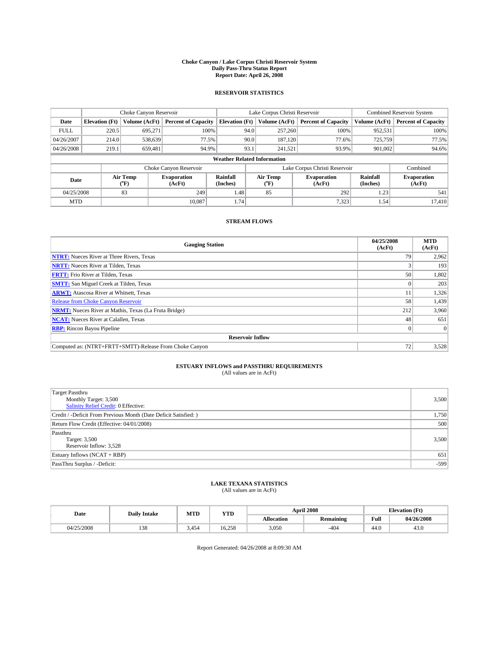### **Choke Canyon / Lake Corpus Christi Reservoir System Daily Pass-Thru Status Report Report Date: April 26, 2008**

### **RESERVOIR STATISTICS**

|             | Choke Canyon Reservoir             |                  |                              |                       | Lake Corpus Christi Reservoir |                  |                               |                      | <b>Combined Reservoir System</b> |  |
|-------------|------------------------------------|------------------|------------------------------|-----------------------|-------------------------------|------------------|-------------------------------|----------------------|----------------------------------|--|
| Date        | <b>Elevation</b> (Ft)              | Volume (AcFt)    | <b>Percent of Capacity</b>   | <b>Elevation</b> (Ft) |                               | Volume (AcFt)    | <b>Percent of Capacity</b>    | Volume (AcFt)        | <b>Percent of Capacity</b>       |  |
| <b>FULL</b> | 220.5                              | 695.271          | 100%                         |                       | 94.0                          | 257,260          | 100%                          | 952.531              | 100%                             |  |
| 04/26/2007  | 214.0                              | 538,639          | 77.5%                        |                       | 90.0                          | 187.120          | 77.6%                         | 725,759              | 77.5%                            |  |
| 04/26/2008  | 219.1                              | 659.481          | 94.9%                        |                       | 93.1                          | 241.521          | 93.9%                         | 901,002              | 94.6%                            |  |
|             | <b>Weather Related Information</b> |                  |                              |                       |                               |                  |                               |                      |                                  |  |
|             |                                    |                  | Choke Canyon Reservoir       |                       |                               |                  | Lake Corpus Christi Reservoir |                      | Combined                         |  |
| Date        |                                    | Air Temp<br>(°F) | <b>Evaporation</b><br>(AcFt) | Rainfall<br>(Inches)  |                               | Air Temp<br>("F) | <b>Evaporation</b><br>(AcFt)  | Rainfall<br>(Inches) | <b>Evaporation</b><br>(AcFt)     |  |
| 04/25/2008  |                                    | 83               | 249                          | 1.48                  |                               | 85               | 292                           | 1.23                 | 541                              |  |
| <b>MTD</b>  |                                    |                  | 10.087                       | 1.74                  |                               |                  | 7,323                         | 1.54                 | 17.410                           |  |

### **STREAM FLOWS**

| <b>Gauging Station</b>                                       | 04/25/2008<br>(AcFt) | <b>MTD</b><br>(AcFt) |
|--------------------------------------------------------------|----------------------|----------------------|
| <b>NTRT:</b> Nueces River at Three Rivers, Texas             | 79                   | 2,962                |
| <b>NRTT:</b> Nueces River at Tilden, Texas                   |                      | 193                  |
| <b>FRTT:</b> Frio River at Tilden, Texas                     | 50                   | 1,802                |
| <b>SMTT:</b> San Miguel Creek at Tilden, Texas               |                      | 203                  |
| <b>ARWT:</b> Atascosa River at Whitsett, Texas               | 11                   | 1,326                |
| <b>Release from Choke Canyon Reservoir</b>                   | 58                   | 1,439                |
| <b>NRMT:</b> Nueces River at Mathis, Texas (La Fruta Bridge) | 212                  | 3,960                |
| <b>NCAT:</b> Nueces River at Calallen, Texas                 | 48                   | 651                  |
| <b>RBP:</b> Rincon Bayou Pipeline                            | $\overline{0}$       |                      |
| <b>Reservoir Inflow</b>                                      |                      |                      |
| Computed as: (NTRT+FRTT+SMTT)-Release From Choke Canyon      | 72                   | 3,528                |

# **ESTUARY INFLOWS and PASSTHRU REQUIREMENTS**<br>(All values are in AcFt)

| <b>Target Passthru</b><br>Monthly Target: 3,500<br><b>Salinity Relief Credit: 0 Effective:</b> | 3,500  |
|------------------------------------------------------------------------------------------------|--------|
| Credit / -Deficit From Previous Month (Date Deficit Satisfied: )                               | 1,750  |
| Return Flow Credit (Effective: 04/01/2008)                                                     | 500    |
| Passthru<br>Target: 3,500<br>Reservoir Inflow: 3,528                                           | 3,500  |
| Estuary Inflows (NCAT + RBP)                                                                   | 651    |
| PassThru Surplus / -Deficit:                                                                   | $-599$ |

## **LAKE TEXANA STATISTICS** (All values are in AcFt)

| Date       | <b>Daily Intake</b>   | MTD   | YTD    |            | <b>April 2008</b> | <b>Elevation</b> (Ft) |            |
|------------|-----------------------|-------|--------|------------|-------------------|-----------------------|------------|
|            |                       |       |        | Allocation | <b>Remaining</b>  | Full                  | 04/26/2008 |
| 04/25/2008 | 0 <sup>0</sup><br>120 | 3.454 | 16.258 | 3,050      | $-404$            | 44.0                  | 43.0       |

Report Generated: 04/26/2008 at 8:09:30 AM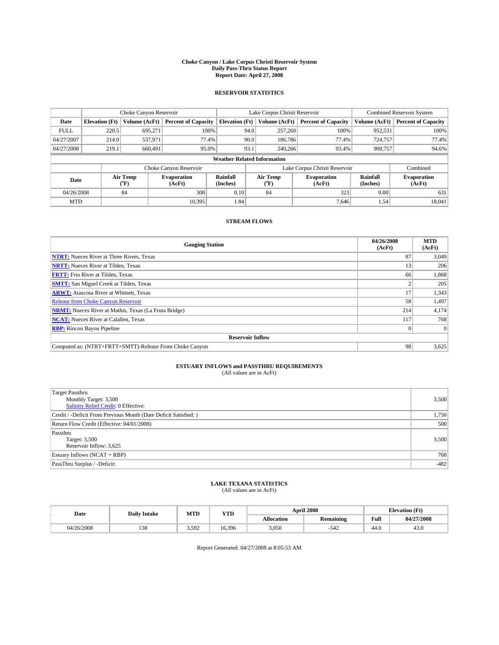### **Choke Canyon / Lake Corpus Christi Reservoir System Daily Pass-Thru Status Report Report Date: April 27, 2008**

### **RESERVOIR STATISTICS**

|             | Choke Canyon Reservoir             |                             |                              |                       | Lake Corpus Christi Reservoir |                  |                               |                      | <b>Combined Reservoir System</b> |  |  |
|-------------|------------------------------------|-----------------------------|------------------------------|-----------------------|-------------------------------|------------------|-------------------------------|----------------------|----------------------------------|--|--|
| Date        | <b>Elevation</b> (Ft)              | Volume (AcFt)               | <b>Percent of Capacity</b>   | <b>Elevation</b> (Ft) |                               | Volume (AcFt)    | <b>Percent of Capacity</b>    | Volume (AcFt)        | <b>Percent of Capacity</b>       |  |  |
| <b>FULL</b> | 220.5                              | 695,271                     | 100%                         |                       | 94.0                          | 257,260          | 100%                          | 952,531              | 100%                             |  |  |
| 04/27/2007  | 214.0                              | 537,971                     | 77.4%                        |                       | 90.0                          | 186,786          | 77.4%                         | 724,757              | 77.4%                            |  |  |
| 04/27/2008  | 219.1                              | 660.491                     | 95.0%                        |                       | 93.1                          | 240,266          | 93.4%                         | 900.757              | 94.6%                            |  |  |
|             | <b>Weather Related Information</b> |                             |                              |                       |                               |                  |                               |                      |                                  |  |  |
|             |                                    |                             | Choke Canyon Reservoir       |                       |                               |                  | Lake Corpus Christi Reservoir |                      | Combined                         |  |  |
| Date        |                                    | Air Temp<br>${}^{\circ}$ F) | <b>Evaporation</b><br>(AcFt) | Rainfall<br>(Inches)  |                               | Air Temp<br>("F) | <b>Evaporation</b><br>(AcFt)  | Rainfall<br>(Inches) | <b>Evaporation</b><br>(AcFt)     |  |  |
| 04/26/2008  |                                    | 84                          | 308                          | 0.10                  |                               | 84               | 323                           | 0.00                 | 631                              |  |  |
| <b>MTD</b>  |                                    |                             | 10.395                       | 1.84                  |                               |                  | 7.646                         | 1.54                 | 18,041                           |  |  |

### **STREAM FLOWS**

| <b>Gauging Station</b>                                       | 04/26/2008<br>(AcFt) | <b>MTD</b><br>(AcFt) |
|--------------------------------------------------------------|----------------------|----------------------|
| <b>NTRT:</b> Nueces River at Three Rivers, Texas             | 87                   | 3,049                |
| <b>NRTT:</b> Nueces River at Tilden, Texas                   | 13                   | 206                  |
| <b>FRTT:</b> Frio River at Tilden, Texas                     | 66                   | 1,868                |
| <b>SMTT:</b> San Miguel Creek at Tilden, Texas               |                      | 205                  |
| <b>ARWT:</b> Atascosa River at Whitsett, Texas               | 17                   | 1,343                |
| <b>Release from Choke Canyon Reservoir</b>                   | 58                   | 1,497                |
| <b>NRMT:</b> Nueces River at Mathis, Texas (La Fruta Bridge) | 214                  | 4,174                |
| <b>NCAT:</b> Nueces River at Calallen, Texas                 | 117                  | 768                  |
| <b>RBP:</b> Rincon Bayou Pipeline                            | $\overline{0}$       |                      |
| <b>Reservoir Inflow</b>                                      |                      |                      |
| Computed as: (NTRT+FRTT+SMTT)-Release From Choke Canyon      | 98                   | 3,625                |

# **ESTUARY INFLOWS and PASSTHRU REQUIREMENTS**<br>(All values are in AcFt)

| <b>Target Passthru</b><br>Monthly Target: 3,500<br><b>Salinity Relief Credit: 0 Effective:</b> | 3,500  |
|------------------------------------------------------------------------------------------------|--------|
|                                                                                                |        |
| Credit / -Deficit From Previous Month (Date Deficit Satisfied: )                               | 1,750  |
| Return Flow Credit (Effective: 04/01/2008)                                                     | 500    |
| Passthru                                                                                       |        |
| Target: 3,500                                                                                  | 3,500  |
| Reservoir Inflow: 3,625                                                                        |        |
| Estuary Inflows (NCAT + RBP)                                                                   | 768    |
| PassThru Surplus / -Deficit:                                                                   | $-482$ |
|                                                                                                |        |

## **LAKE TEXANA STATISTICS** (All values are in AcFt)

| Date       | <b>Daily Intake</b> | MTD   | <b>YTD</b> |            | <b>April 2008</b> | <b>Elevation</b> (Ft) |            |
|------------|---------------------|-------|------------|------------|-------------------|-----------------------|------------|
|            |                     |       |            | Allocation | <b>Remaining</b>  | Full                  | 04/27/2008 |
| 04/26/2008 | 138                 | 3.592 | 16.396     | 3,050      | 542               | 44.0                  | 43.0       |

Report Generated: 04/27/2008 at 8:05:53 AM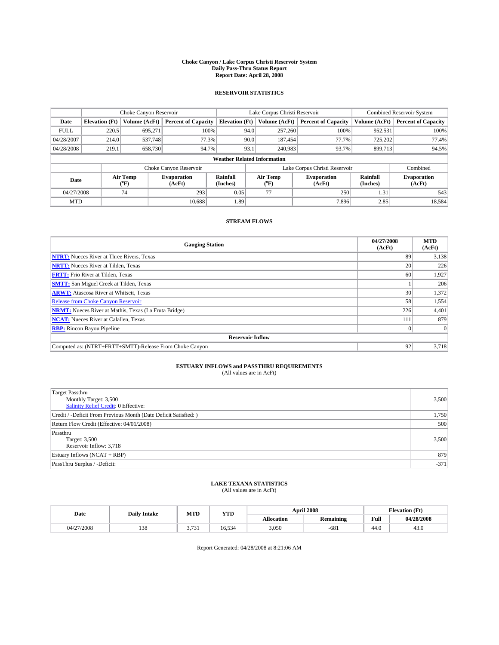### **Choke Canyon / Lake Corpus Christi Reservoir System Daily Pass-Thru Status Report Report Date: April 28, 2008**

### **RESERVOIR STATISTICS**

|             | Choke Canyon Reservoir             |                  |                              |                       | Lake Corpus Christi Reservoir |                  |                               |                      | <b>Combined Reservoir System</b> |  |  |
|-------------|------------------------------------|------------------|------------------------------|-----------------------|-------------------------------|------------------|-------------------------------|----------------------|----------------------------------|--|--|
| Date        | <b>Elevation</b> (Ft)              | Volume (AcFt)    | <b>Percent of Capacity</b>   | <b>Elevation</b> (Ft) |                               | Volume (AcFt)    | <b>Percent of Capacity</b>    | Volume (AcFt)        | <b>Percent of Capacity</b>       |  |  |
| <b>FULL</b> | 220.5                              | 695,271          | 100%                         |                       | 94.0                          | 257,260          | 100%                          | 952,531              | 100%                             |  |  |
| 04/28/2007  | 214.0                              | 537,748          | 77.3%                        |                       | 90.0                          | 187,454          | 77.7%                         | 725.202              | 77.4%                            |  |  |
| 04/28/2008  | 219.1                              | 658.730          | 94.7%                        |                       | 93.1                          | 240,983          | 93.7%                         | 899.713              | 94.5%                            |  |  |
|             | <b>Weather Related Information</b> |                  |                              |                       |                               |                  |                               |                      |                                  |  |  |
|             |                                    |                  | Choke Canyon Reservoir       |                       |                               |                  | Lake Corpus Christi Reservoir |                      | Combined                         |  |  |
| Date        |                                    | Air Temp<br>(°F) | <b>Evaporation</b><br>(AcFt) | Rainfall<br>(Inches)  |                               | Air Temp<br>("F) | <b>Evaporation</b><br>(AcFt)  | Rainfall<br>(Inches) | <b>Evaporation</b><br>(AcFt)     |  |  |
| 04/27/2008  |                                    | 74               | 293                          | 0.05                  |                               | 77               | 250                           | 1.31                 | 543                              |  |  |
| <b>MTD</b>  |                                    |                  | 10.688                       | 1.89                  |                               |                  | 7,896                         | 2.85                 | 18,584                           |  |  |

### **STREAM FLOWS**

| <b>Gauging Station</b>                                       | 04/27/2008<br>(AcFt) | <b>MTD</b><br>(AcFt) |
|--------------------------------------------------------------|----------------------|----------------------|
| <b>NTRT:</b> Nueces River at Three Rivers, Texas             | 89                   | 3,138                |
| <b>NRTT:</b> Nueces River at Tilden, Texas                   | 20                   | 226                  |
| <b>FRTT:</b> Frio River at Tilden, Texas                     | 60                   | 1,927                |
| <b>SMTT:</b> San Miguel Creek at Tilden, Texas               |                      | 206                  |
| <b>ARWT:</b> Atascosa River at Whitsett, Texas               | 30                   | 1,372                |
| <b>Release from Choke Canyon Reservoir</b>                   | 58                   | 1,554                |
| <b>NRMT:</b> Nueces River at Mathis, Texas (La Fruta Bridge) | 226                  | 4,401                |
| <b>NCAT:</b> Nueces River at Calallen, Texas                 | 111                  | 879                  |
| <b>RBP:</b> Rincon Bayou Pipeline                            | $\Omega$             |                      |
| <b>Reservoir Inflow</b>                                      |                      |                      |
| Computed as: (NTRT+FRTT+SMTT)-Release From Choke Canyon      | 92                   | 3,718                |

# **ESTUARY INFLOWS and PASSTHRU REQUIREMENTS**<br>(All values are in AcFt)

| <b>Target Passthru</b><br>Monthly Target: 3,500<br><b>Salinity Relief Credit: 0 Effective:</b> | 3,500  |
|------------------------------------------------------------------------------------------------|--------|
| Credit / -Deficit From Previous Month (Date Deficit Satisfied: )                               | 1,750  |
| Return Flow Credit (Effective: 04/01/2008)                                                     | 500    |
| Passthru<br>Target: 3,500<br>Reservoir Inflow: 3,718                                           | 3,500  |
| Estuary Inflows (NCAT + RBP)                                                                   | 879    |
| PassThru Surplus / -Deficit:                                                                   | $-371$ |

## **LAKE TEXANA STATISTICS** (All values are in AcFt)

| Date       | <b>Daily Intake</b> | MTD                        | YTD                  |            | <b>April 2008</b> |      | <b>Elevation</b> (Ft) |
|------------|---------------------|----------------------------|----------------------|------------|-------------------|------|-----------------------|
|            |                     |                            |                      | Allocation | <b>Remaining</b>  | Full | 04/28/2008            |
| 04/27/2008 | 138                 | $-22$<br>، ب<br><u>. .</u> | $\sim$ $\sim$ $\sim$ | 3,050      | $-681$            | 44.0 | 43.0                  |

Report Generated: 04/28/2008 at 8:21:06 AM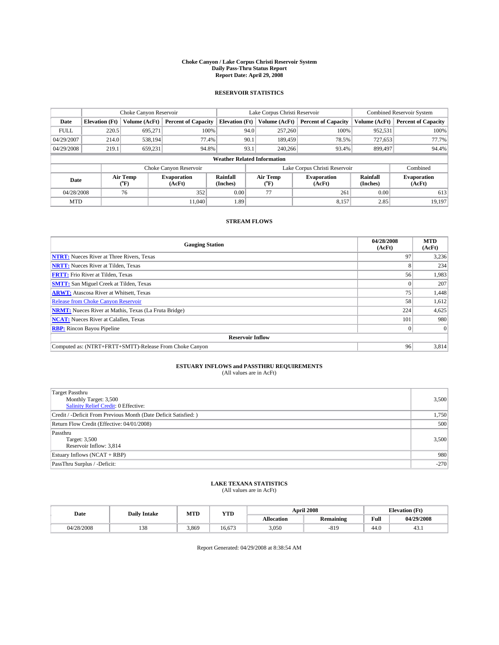### **Choke Canyon / Lake Corpus Christi Reservoir System Daily Pass-Thru Status Report Report Date: April 29, 2008**

### **RESERVOIR STATISTICS**

|             | Choke Canyon Reservoir             |                  |                              |                       | Lake Corpus Christi Reservoir |                  |                               |                      | <b>Combined Reservoir System</b> |  |  |
|-------------|------------------------------------|------------------|------------------------------|-----------------------|-------------------------------|------------------|-------------------------------|----------------------|----------------------------------|--|--|
| Date        | <b>Elevation</b> (Ft)              | Volume (AcFt)    | <b>Percent of Capacity</b>   | <b>Elevation</b> (Ft) |                               | Volume (AcFt)    | <b>Percent of Capacity</b>    | Volume (AcFt)        | <b>Percent of Capacity</b>       |  |  |
| <b>FULL</b> | 220.5                              | 695,271          |                              | 100%                  | 94.0                          | 257,260          | 100%                          | 952,531              | 100%                             |  |  |
| 04/29/2007  | 214.0                              | 538.194          | 77.4%                        |                       | 90.1                          | 189,459          | 78.5%                         | 727,653              | 77.7%                            |  |  |
| 04/29/2008  | 219.1                              | 659.231          | 94.8%                        |                       | 93.1                          | 240,266          | 93.4%                         | 899,497              | 94.4%                            |  |  |
|             | <b>Weather Related Information</b> |                  |                              |                       |                               |                  |                               |                      |                                  |  |  |
|             |                                    |                  | Choke Canyon Reservoir       |                       |                               |                  | Lake Corpus Christi Reservoir |                      | Combined                         |  |  |
| Date        |                                    | Air Temp<br>(°F) | <b>Evaporation</b><br>(AcFt) | Rainfall<br>(Inches)  |                               | Air Temp<br>("F) | <b>Evaporation</b><br>(AcFt)  | Rainfall<br>(Inches) | <b>Evaporation</b><br>(AcFt)     |  |  |
| 04/28/2008  |                                    | 76               | 352                          | 0.00                  |                               | 77               | 261                           | 0.00                 | 613                              |  |  |
| <b>MTD</b>  |                                    |                  | 11.040                       | 1.89                  |                               |                  | 8,157                         | 2.85                 | 19.197                           |  |  |

### **STREAM FLOWS**

| <b>Gauging Station</b>                                       | 04/28/2008<br>(AcFt) | <b>MTD</b><br>(AcFt) |
|--------------------------------------------------------------|----------------------|----------------------|
| <b>NTRT:</b> Nueces River at Three Rivers, Texas             | 97                   | 3,236                |
| <b>NRTT:</b> Nueces River at Tilden, Texas                   |                      | 234                  |
| <b>FRTT:</b> Frio River at Tilden, Texas                     | 56                   | 1,983                |
| <b>SMTT:</b> San Miguel Creek at Tilden, Texas               |                      | 207                  |
| <b>ARWT:</b> Atascosa River at Whitsett, Texas               | 75                   | 1,448                |
| <b>Release from Choke Canyon Reservoir</b>                   | 58                   | 1,612                |
| <b>NRMT:</b> Nueces River at Mathis, Texas (La Fruta Bridge) | 224                  | 4,625                |
| <b>NCAT:</b> Nueces River at Calallen, Texas                 | 101                  | 980                  |
| <b>RBP:</b> Rincon Bayou Pipeline                            | $\vert 0 \vert$      |                      |
| <b>Reservoir Inflow</b>                                      |                      |                      |
| Computed as: (NTRT+FRTT+SMTT)-Release From Choke Canyon      | 96                   | 3,814                |

# **ESTUARY INFLOWS and PASSTHRU REQUIREMENTS**<br>(All values are in AcFt)

| <b>Target Passthru</b><br>Monthly Target: 3,500                  | 3,500  |
|------------------------------------------------------------------|--------|
| <b>Salinity Relief Credit: 0 Effective:</b>                      |        |
| Credit / -Deficit From Previous Month (Date Deficit Satisfied: ) | 1,750  |
| Return Flow Credit (Effective: 04/01/2008)                       | 500    |
| Passthru                                                         |        |
| Target: 3,500                                                    | 3,500  |
| Reservoir Inflow: 3,814                                          |        |
| Estuary Inflows (NCAT + RBP)                                     | 980    |
| PassThru Surplus / -Deficit:                                     | $-270$ |

## **LAKE TEXANA STATISTICS** (All values are in AcFt)

| Date       | <b>Daily Intake</b> | MTD   | YTD    |            | <b>April 2008</b> | <b>Elevation</b> (Ft) |            |
|------------|---------------------|-------|--------|------------|-------------------|-----------------------|------------|
|            |                     |       |        | Allocation | <b>Remaining</b>  | Full                  | 04/29/2008 |
| 04/28/2008 | 138                 | 3.869 | 16.673 | 3,050      | $-819$            | 44.0                  | 49.1       |

Report Generated: 04/29/2008 at 8:38:54 AM